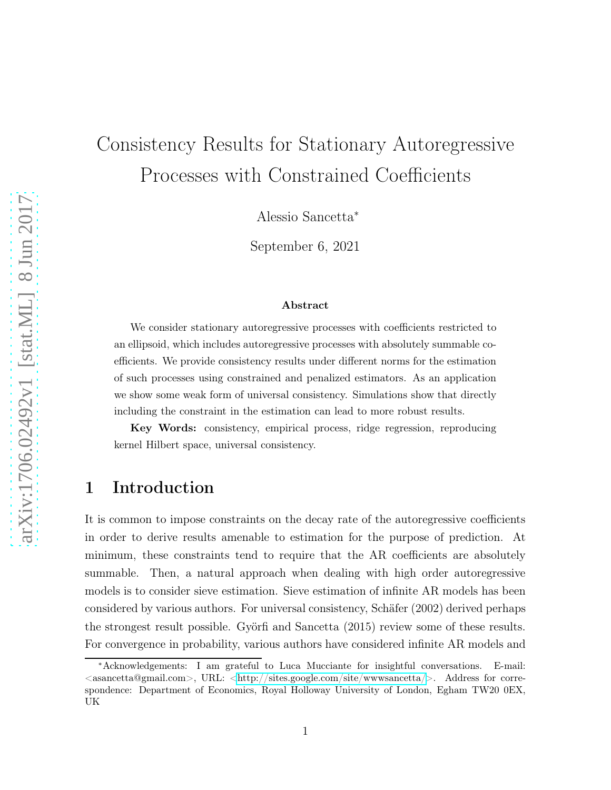# Consistency Results for Stationary Autoregressive Processes with Constrained Coefficients

Alessio Sancetta<sup>∗</sup>

September 6, 2021

#### Abstract

We consider stationary autoregressive processes with coefficients restricted to an ellipsoid, which includes autoregressive processes with absolutely summable coefficients. We provide consistency results under different norms for the estimation of such processes using constrained and penalized estimators. As an application we show some weak form of universal consistency. Simulations show that directly including the constraint in the estimation can lead to more robust results.

Key Words: consistency, empirical process, ridge regression, reproducing kernel Hilbert space, universal consistency.

# 1 Introduction

It is common to impose constraints on the decay rate of the autoregressive coefficients in order to derive results amenable to estimation for the purpose of prediction. At minimum, these constraints tend to require that the AR coefficients are absolutely summable. Then, a natural approach when dealing with high order autoregressive models is to consider sieve estimation. Sieve estimation of infinite AR models has been considered by various authors. For universal consistency, Schäfer (2002) derived perhaps the strongest result possible. Györfi and Sancetta (2015) review some of these results. For convergence in probability, various authors have considered infinite AR models and

<sup>∗</sup>Acknowledgements: I am grateful to Luca Mucciante for insightful conversations. E-mail:  $\langle$  asancetta@gmail.com $>$ , URL:  $\langle$ http://sites.google.com/site/wwwsancetta/ $>$ . Address for correspondence: Department of Economics, Royal Holloway University of London, Egham TW20 0EX, UK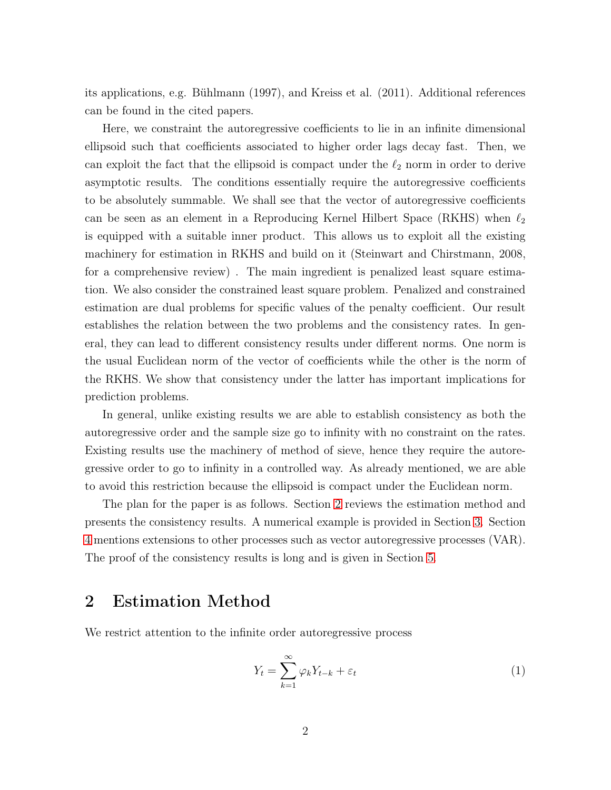its applications, e.g. Bühlmann (1997), and Kreiss et al. (2011). Additional references can be found in the cited papers.

Here, we constraint the autoregressive coefficients to lie in an infinite dimensional ellipsoid such that coefficients associated to higher order lags decay fast. Then, we can exploit the fact that the ellipsoid is compact under the  $\ell_2$  norm in order to derive asymptotic results. The conditions essentially require the autoregressive coefficients to be absolutely summable. We shall see that the vector of autoregressive coefficients can be seen as an element in a Reproducing Kernel Hilbert Space (RKHS) when  $\ell_2$ is equipped with a suitable inner product. This allows us to exploit all the existing machinery for estimation in RKHS and build on it (Steinwart and Chirstmann, 2008, for a comprehensive review) . The main ingredient is penalized least square estimation. We also consider the constrained least square problem. Penalized and constrained estimation are dual problems for specific values of the penalty coefficient. Our result establishes the relation between the two problems and the consistency rates. In general, they can lead to different consistency results under different norms. One norm is the usual Euclidean norm of the vector of coefficients while the other is the norm of the RKHS. We show that consistency under the latter has important implications for prediction problems.

In general, unlike existing results we are able to establish consistency as both the autoregressive order and the sample size go to infinity with no constraint on the rates. Existing results use the machinery of method of sieve, hence they require the autoregressive order to go to infinity in a controlled way. As already mentioned, we are able to avoid this restriction because the ellipsoid is compact under the Euclidean norm.

The plan for the paper is as follows. Section [2](#page-1-0) reviews the estimation method and presents the consistency results. A numerical example is provided in Section [3.](#page-8-0) Section [4](#page-10-0) mentions extensions to other processes such as vector autoregressive processes (VAR). The proof of the consistency results is long and is given in Section [5.](#page-11-0)

## <span id="page-1-0"></span>2 Estimation Method

We restrict attention to the infinite order autoregressive process

<span id="page-1-1"></span>
$$
Y_t = \sum_{k=1}^{\infty} \varphi_k Y_{t-k} + \varepsilon_t \tag{1}
$$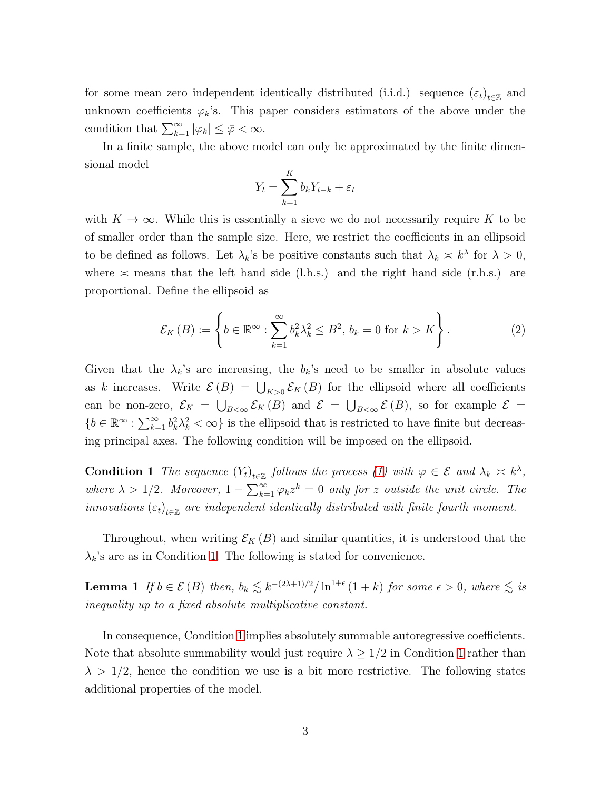for some mean zero independent identically distributed (i.i.d.) sequence  $(\varepsilon_t)_{t \in \mathbb{Z}}$  and unknown coefficients  $\varphi_k$ 's. This paper considers estimators of the above under the condition that  $\sum_{k=1}^{\infty} |\varphi_k| \leq \bar{\varphi} < \infty$ .

In a finite sample, the above model can only be approximated by the finite dimensional model

$$
Y_t = \sum_{k=1}^K b_k Y_{t-k} + \varepsilon_t
$$

with  $K \to \infty$ . While this is essentially a sieve we do not necessarily require K to be of smaller order than the sample size. Here, we restrict the coefficients in an ellipsoid to be defined as follows. Let  $\lambda_k$ 's be positive constants such that  $\lambda_k \geq k^{\lambda}$  for  $\lambda > 0$ , where  $\approx$  means that the left hand side (l.h.s.) and the right hand side (r.h.s.) are proportional. Define the ellipsoid as

$$
\mathcal{E}_K(B) := \left\{ b \in \mathbb{R}^\infty : \sum_{k=1}^\infty b_k^2 \lambda_k^2 \le B^2, \, b_k = 0 \text{ for } k > K \right\}.
$$
 (2)

Given that the  $\lambda_k$ 's are increasing, the  $b_k$ 's need to be smaller in absolute values as k increases. Write  $\mathcal{E}(B) = \bigcup_{K>0} \mathcal{E}_K(B)$  for the ellipsoid where all coefficients can be non-zero,  $\mathcal{E}_K = \bigcup_{B < \infty} \mathcal{E}_K(B)$  and  $\mathcal{E} = \bigcup_{B < \infty} \mathcal{E}(B)$ , so for example  $\mathcal{E} =$  ${b \in \mathbb{R}^\infty : \sum_{k=1}^\infty b_k^2 \lambda_k^2 < \infty}$  is the ellipsoid that is restricted to have finite but decreasing principal axes. The following condition will be imposed on the ellipsoid.

<span id="page-2-0"></span>**Condition 1** The sequence  $(Y_t)_{t \in \mathbb{Z}}$  follows the process [\(1\)](#page-1-1) with  $\varphi \in \mathcal{E}$  and  $\lambda_k \geq k^{\lambda}$ , where  $\lambda > 1/2$ . Moreover,  $1 - \sum_{k=1}^{\infty} \varphi_k z^k = 0$  only for z outside the unit circle. The innovations  $(\varepsilon_t)_{t \in \mathbb{Z}}$  are independent identically distributed with finite fourth moment.

<span id="page-2-2"></span>Throughout, when writing  $\mathcal{E}_K(B)$  and similar quantities, it is understood that the  $\lambda_k$ 's are as in Condition [1.](#page-2-0) The following is stated for convenience.

**Lemma 1** If  $b \in \mathcal{E}(B)$  then,  $b_k \leq k^{-(2\lambda+1)/2}/\ln^{1+\epsilon}(1+k)$  for some  $\epsilon > 0$ , where  $\leq$  is inequality up to a fixed absolute multiplicative constant.

<span id="page-2-1"></span>In consequence, Condition [1](#page-2-0) implies absolutely summable autoregressive coefficients. Note that absolute summability would just require  $\lambda \geq 1/2$  $\lambda \geq 1/2$  $\lambda \geq 1/2$  in Condition 1 rather than  $\lambda > 1/2$ , hence the condition we use is a bit more restrictive. The following states additional properties of the model.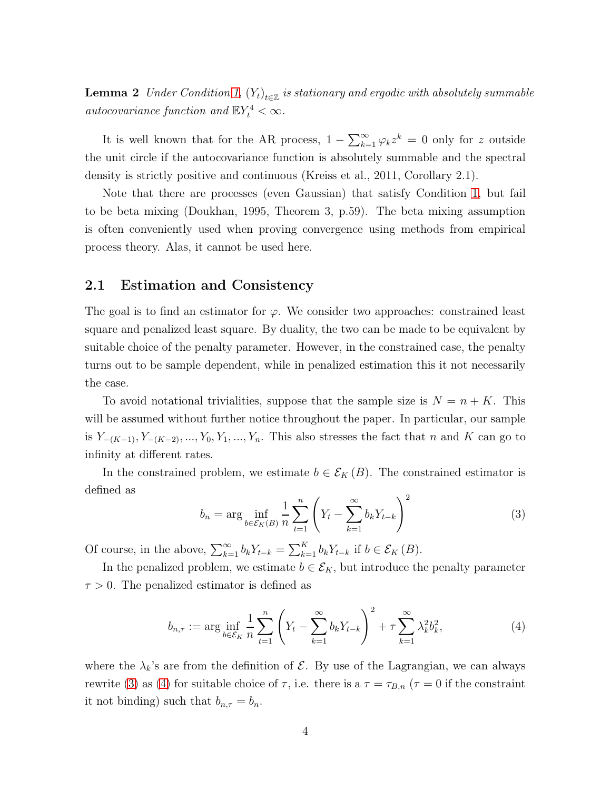**Lemma 2** Under Condition [1,](#page-2-0)  $(Y_t)_{t \in \mathbb{Z}}$  is stationary and ergodic with absolutely summable autocovariance function and  $\mathbb{E}Y_t^4 < \infty$ .

It is well known that for the AR process,  $1 - \sum_{k=1}^{\infty} \varphi_k z^k = 0$  only for z outside the unit circle if the autocovariance function is absolutely summable and the spectral density is strictly positive and continuous (Kreiss et al., 2011, Corollary 2.1).

Note that there are processes (even Gaussian) that satisfy Condition [1,](#page-2-0) but fail to be beta mixing (Doukhan, 1995, Theorem 3, p.59). The beta mixing assumption is often conveniently used when proving convergence using methods from empirical process theory. Alas, it cannot be used here.

### 2.1 Estimation and Consistency

The goal is to find an estimator for  $\varphi$ . We consider two approaches: constrained least square and penalized least square. By duality, the two can be made to be equivalent by suitable choice of the penalty parameter. However, in the constrained case, the penalty turns out to be sample dependent, while in penalized estimation this it not necessarily the case.

To avoid notational trivialities, suppose that the sample size is  $N = n + K$ . This will be assumed without further notice throughout the paper. In particular, our sample is  $Y_{-(K-1)}, Y_{-(K-2)}, ..., Y_0, Y_1, ..., Y_n$ . This also stresses the fact that n and K can go to infinity at different rates.

In the constrained problem, we estimate  $b \in \mathcal{E}_K(B)$ . The constrained estimator is defined as

<span id="page-3-0"></span>
$$
b_n = \arg\inf_{b \in \mathcal{E}_K(B)} \frac{1}{n} \sum_{t=1}^n \left( Y_t - \sum_{k=1}^\infty b_k Y_{t-k} \right)^2
$$
 (3)

Of course, in the above,  $\sum_{k=1}^{\infty} b_k Y_{t-k} = \sum_{k=1}^{K} b_k Y_{t-k}$  if  $b \in \mathcal{E}_K (B)$ .

In the penalized problem, we estimate  $b \in \mathcal{E}_K$ , but introduce the penalty parameter  $\tau > 0$ . The penalized estimator is defined as

<span id="page-3-1"></span>
$$
b_{n,\tau} := \arg\inf_{b \in \mathcal{E}_K} \frac{1}{n} \sum_{t=1}^n \left( Y_t - \sum_{k=1}^\infty b_k Y_{t-k} \right)^2 + \tau \sum_{k=1}^\infty \lambda_k^2 b_k^2, \tag{4}
$$

where the  $\lambda_k$ 's are from the definition of  $\mathcal E$ . By use of the Lagrangian, we can always rewrite [\(3\)](#page-3-0) as [\(4\)](#page-3-1) for suitable choice of  $\tau$ , i.e. there is a  $\tau = \tau_{B,n}$  ( $\tau = 0$  if the constraint it not binding) such that  $b_{n,\tau} = b_n$ .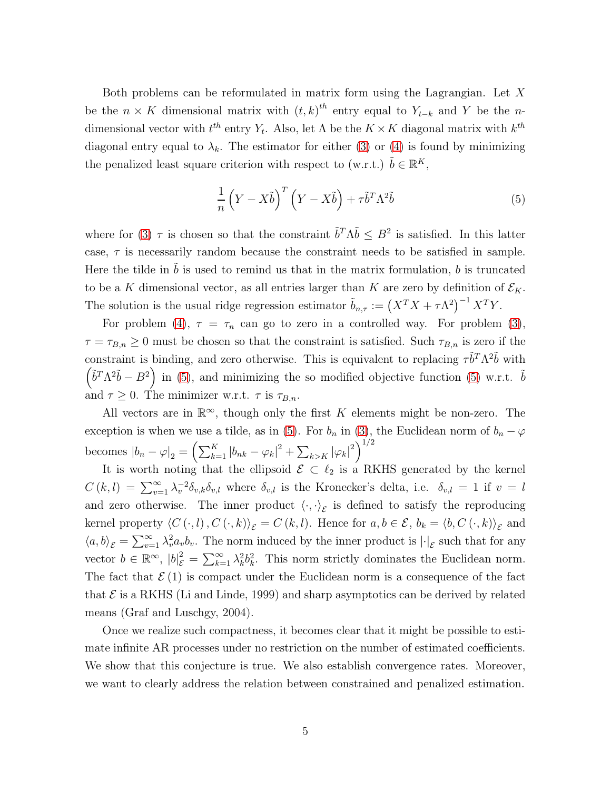Both problems can be reformulated in matrix form using the Lagrangian. Let  $X$ be the  $n \times K$  dimensional matrix with  $(t, k)$ <sup>th</sup> entry equal to  $Y_{t-k}$  and Y be the ndimensional vector with  $t^{th}$  entry  $Y_t$ . Also, let  $\Lambda$  be the  $K \times K$  diagonal matrix with  $k^{th}$ diagonal entry equal to  $\lambda_k$ . The estimator for either [\(3\)](#page-3-0) or [\(4\)](#page-3-1) is found by minimizing the penalized least square criterion with respect to (w.r.t.)  $\tilde{b} \in \mathbb{R}^K$ ,

<span id="page-4-0"></span>
$$
\frac{1}{n}\left(Y - X\tilde{b}\right)^{T}\left(Y - X\tilde{b}\right) + \tau\tilde{b}^{T}\Lambda^{2}\tilde{b}
$$
\n(5)

where for [\(3\)](#page-3-0)  $\tau$  is chosen so that the constraint  $\tilde{b}^T \Lambda \tilde{b} \leq B^2$  is satisfied. In this latter case,  $\tau$  is necessarily random because the constraint needs to be satisfied in sample. Here the tilde in  $b$  is used to remind us that in the matrix formulation,  $b$  is truncated to be a K dimensional vector, as all entries larger than K are zero by definition of  $\mathcal{E}_K$ . The solution is the usual ridge regression estimator  $\tilde{b}_{n,\tau} := (X^T X + \tau \Lambda^2)^{-1} X^T Y$ .

For problem [\(4\)](#page-3-1),  $\tau = \tau_n$  can go to zero in a controlled way. For problem [\(3\)](#page-3-0),  $\tau = \tau_{B,n} \geq 0$  must be chosen so that the constraint is satisfied. Such  $\tau_{B,n}$  is zero if the constraint is binding, and zero otherwise. This is equivalent to replacing  $\tau \tilde{b}^T \Lambda^2 \tilde{b}$  with  $(\tilde{b}^T \Lambda^2 \tilde{b} - B^2)$  in [\(5\)](#page-4-0), and minimizing the so modified objective function (5) w.r.t.  $\tilde{b}$ and  $\tau \geq 0$ . The minimizer w.r.t.  $\tau$  is  $\tau_{B,n}$ .

All vectors are in  $\mathbb{R}^{\infty}$ , though only the first K elements might be non-zero. The exception is when we use a tilde, as in [\(5\)](#page-4-0). For  $b_n$  in [\(3\)](#page-3-0), the Euclidean norm of  $b_n - \varphi$ becomes  $|b_n - \varphi|_2 = \left(\sum_{k=1}^K |b_{nk} - \varphi_k|^2 + \sum_{k > K} |\varphi_k|^2\right)^{1/2}$ 

It is worth noting that the ellipsoid  $\mathcal{E} \subset \ell_2$  is a RKHS generated by the kernel  $C(k, l) = \sum_{v=1}^{\infty} \lambda_v^{-2} \delta_{v,k} \delta_{v,l}$  where  $\delta_{v,l}$  is the Kronecker's delta, i.e.  $\delta_{v,l} = 1$  if  $v = l$ and zero otherwise. The inner product  $\langle \cdot, \cdot \rangle_{\mathcal{E}}$  is defined to satisfy the reproducing kernel property  $\langle C(\cdot, l), C(\cdot, k)\rangle_{\mathcal{E}} = C(k, l)$ . Hence for  $a, b \in \mathcal{E}, b_k = \langle b, C(\cdot, k)\rangle_{\mathcal{E}}$  and  $\langle a,b\rangle_{\mathcal{E}} = \sum_{v=1}^{\infty} \lambda_v^2 a_v b_v$ . The norm induced by the inner product is  $|\cdot|_{\mathcal{E}}$  such that for any vector  $b \in \mathbb{R}^{\infty}$ ,  $|b|_{\mathcal{E}}^2 = \sum_{k=1}^{\infty} \lambda_k^2 b_k^2$ . This norm strictly dominates the Euclidean norm. The fact that  $\mathcal{E}(1)$  is compact under the Euclidean norm is a consequence of the fact that  $\mathcal E$  is a RKHS (Li and Linde, 1999) and sharp asymptotics can be derived by related means (Graf and Luschgy, 2004).

Once we realize such compactness, it becomes clear that it might be possible to estimate infinite AR processes under no restriction on the number of estimated coefficients. We show that this conjecture is true. We also establish convergence rates. Moreover, we want to clearly address the relation between constrained and penalized estimation.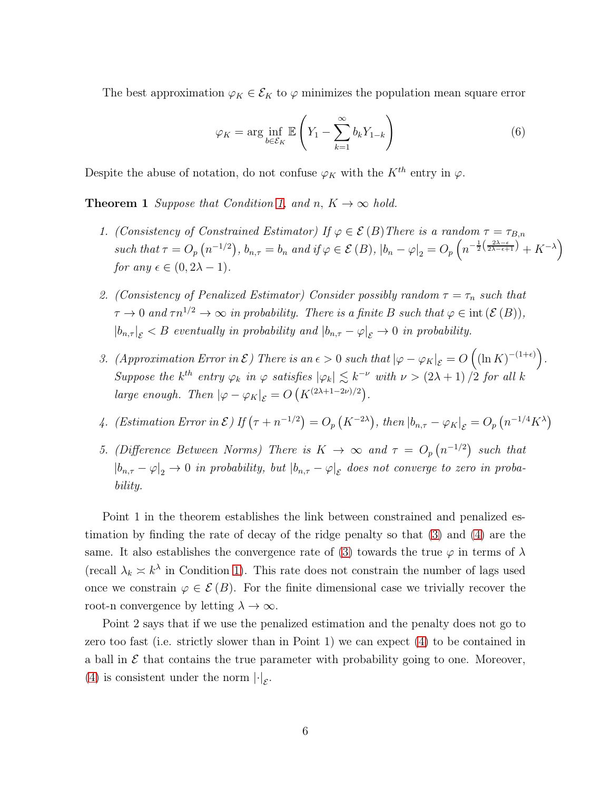The best approximation  $\varphi_K \in \mathcal{E}_K$  to  $\varphi$  minimizes the population mean square error

<span id="page-5-0"></span>
$$
\varphi_K = \arg\inf_{b \in \mathcal{E}_K} \mathbb{E}\left(Y_1 - \sum_{k=1}^{\infty} b_k Y_{1-k}\right) \tag{6}
$$

<span id="page-5-1"></span>Despite the abuse of notation, do not confuse  $\varphi_K$  with the  $K^{th}$  entry in  $\varphi$ .

**Theorem 1** Suppose that Condition [1,](#page-2-0) and n,  $K \to \infty$  hold.

- 1. (Consistency of Constrained Estimator) If  $\varphi \in \mathcal{E}(B)$  There is a random  $\tau = \tau_{B,n}$ such that  $\tau = O_p\left(n^{-1/2}\right)$ ,  $b_{n,\tau} = b_n$  and if  $\varphi \in \mathcal{E}(B)$ ,  $|b_n - \varphi|_2 = O_p\left(n^{-\frac{1}{2}\left(\frac{2\lambda - \epsilon}{2\lambda - \epsilon + 1}\right)} + K^{-\lambda}\right)$ for any  $\epsilon \in (0, 2\lambda - 1)$ .
- 2. (Consistency of Penalized Estimator) Consider possibly random  $\tau = \tau_n$  such that  $\tau \to 0$  and  $\tau n^{1/2} \to \infty$  in probability. There is a finite B such that  $\varphi \in \text{int}(\mathcal{E}(B)),$  $|b_{n,\tau}|_{\mathcal{E}} < B$  eventually in probability and  $|b_{n,\tau} - \varphi|_{\mathcal{E}} \to 0$  in probability.
- 3. (Approximation Error in  $\mathcal{E}$ ) There is an  $\epsilon > 0$  such that  $|\varphi \varphi_K|_{\mathcal{E}} = O\left((\ln K)^{-(1+\epsilon)}\right)$ . Suppose the  $k^{th}$  entry  $\varphi_k$  in  $\varphi$  satisfies  $|\varphi_k| \lesssim k^{-\nu}$  with  $\nu > (2\lambda + 1)/2$  for all k large enough. Then  $|\varphi - \varphi_K|_{\mathcal{E}} = O\left(K^{(2\lambda + 1 - 2\nu)/2}\right)$ .
- 4. (Estimation Error in  $\mathcal{E}$ ) If  $(\tau + n^{-1/2}) = O_p(K^{-2\lambda})$ , then  $|b_{n,\tau} \varphi_K|_{\mathcal{E}} = O_p(n^{-1/4}K^{\lambda})$
- 5. (Difference Between Norms) There is  $K \to \infty$  and  $\tau = O_p(n^{-1/2})$  such that  $|b_{n,\tau} - \varphi|_2 \to 0$  in probability, but  $|b_{n,\tau} - \varphi|_{\mathcal{E}}$  does not converge to zero in probability.

Point 1 in the theorem establishes the link between constrained and penalized estimation by finding the rate of decay of the ridge penalty so that [\(3\)](#page-3-0) and [\(4\)](#page-3-1) are the same. It also establishes the convergence rate of [\(3\)](#page-3-0) towards the true  $\varphi$  in terms of  $\lambda$ (recall  $\lambda_k \geq k^{\lambda}$  in Condition [1\)](#page-2-0). This rate does not constrain the number of lags used once we constrain  $\varphi \in \mathcal{E}(B)$ . For the finite dimensional case we trivially recover the root-n convergence by letting  $\lambda \to \infty$ .

Point 2 says that if we use the penalized estimation and the penalty does not go to zero too fast (i.e. strictly slower than in Point 1) we can expect [\(4\)](#page-3-1) to be contained in a ball in  $\mathcal E$  that contains the true parameter with probability going to one. Moreover, [\(4\)](#page-3-1) is consistent under the norm  $|\cdot|_{\varepsilon}$ .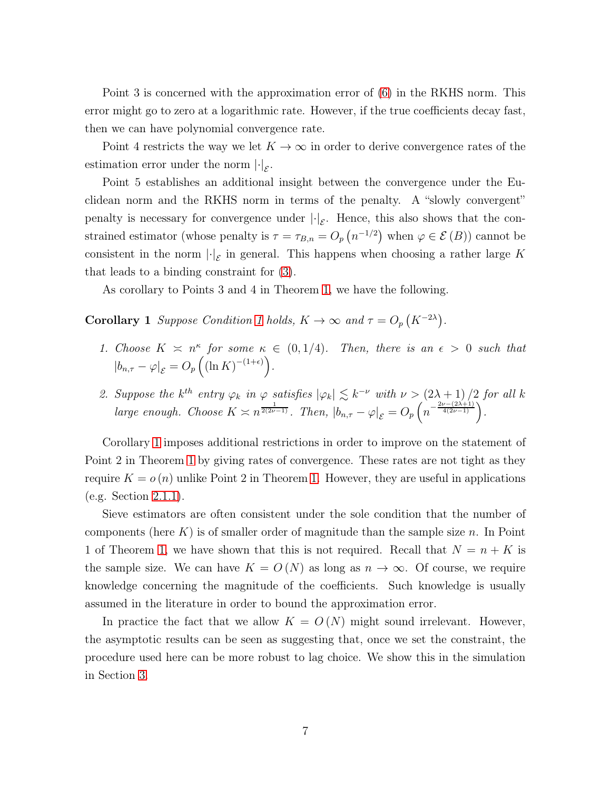Point 3 is concerned with the approximation error of [\(6\)](#page-5-0) in the RKHS norm. This error might go to zero at a logarithmic rate. However, if the true coefficients decay fast, then we can have polynomial convergence rate.

Point 4 restricts the way we let  $K \to \infty$  in order to derive convergence rates of the estimation error under the norm  $|\cdot|_{\varepsilon}$ .

Point 5 establishes an additional insight between the convergence under the Euclidean norm and the RKHS norm in terms of the penalty. A "slowly convergent" penalty is necessary for convergence under  $|\cdot|_{\varepsilon}$ . Hence, this also shows that the constrained estimator (whose penalty is  $\tau = \tau_{B,n} = O_p(n^{-1/2})$  when  $\varphi \in \mathcal{E}(B)$ ) cannot be consistent in the norm  $|\cdot|_{\mathcal{E}}$  in general. This happens when choosing a rather large K that leads to a binding constraint for [\(3\)](#page-3-0).

<span id="page-6-0"></span>As corollary to Points 3 and 4 in Theorem [1,](#page-5-1) we have the following.

**Corollary [1](#page-2-0)** Suppose Condition 1 holds,  $K \to \infty$  and  $\tau = O_p(K^{-2\lambda})$ .

- 1. Choose  $K \leq n^{\kappa}$  for some  $\kappa \in (0, 1/4)$ . Then, there is an  $\epsilon > 0$  such that  $|b_{n,\tau} - \varphi|_{\mathcal{E}} = O_p \left( (\ln K)^{-(1+\epsilon)} \right).$
- 2. Suppose the k<sup>th</sup> entry  $\varphi_k$  in  $\varphi$  satisfies  $|\varphi_k| \lesssim k^{-\nu}$  with  $\nu > (2\lambda + 1)/2$  for all k large enough. Choose  $K \asymp n^{\frac{1}{2(2\nu-1)}}$ . Then,  $|b_{n,\tau} - \varphi|_{\mathcal{E}} = O_p\left(n^{-\frac{2\nu - (2\lambda+1)}{4(2\nu-1)}}\right)$ .

Corollary [1](#page-6-0) imposes additional restrictions in order to improve on the statement of Point 2 in Theorem [1](#page-5-1) by giving rates of convergence. These rates are not tight as they require  $K = o(n)$  unlike Point 2 in Theorem [1.](#page-5-1) However, they are useful in applications (e.g. Section [2.1.1\)](#page-7-0).

Sieve estimators are often consistent under the sole condition that the number of components (here  $K$ ) is of smaller order of magnitude than the sample size n. In Point 1 of Theorem [1,](#page-5-1) we have shown that this is not required. Recall that  $N = n + K$  is the sample size. We can have  $K = O(N)$  as long as  $n \to \infty$ . Of course, we require knowledge concerning the magnitude of the coefficients. Such knowledge is usually assumed in the literature in order to bound the approximation error.

In practice the fact that we allow  $K = O(N)$  might sound irrelevant. However, the asymptotic results can be seen as suggesting that, once we set the constraint, the procedure used here can be more robust to lag choice. We show this in the simulation in Section [3.](#page-8-0)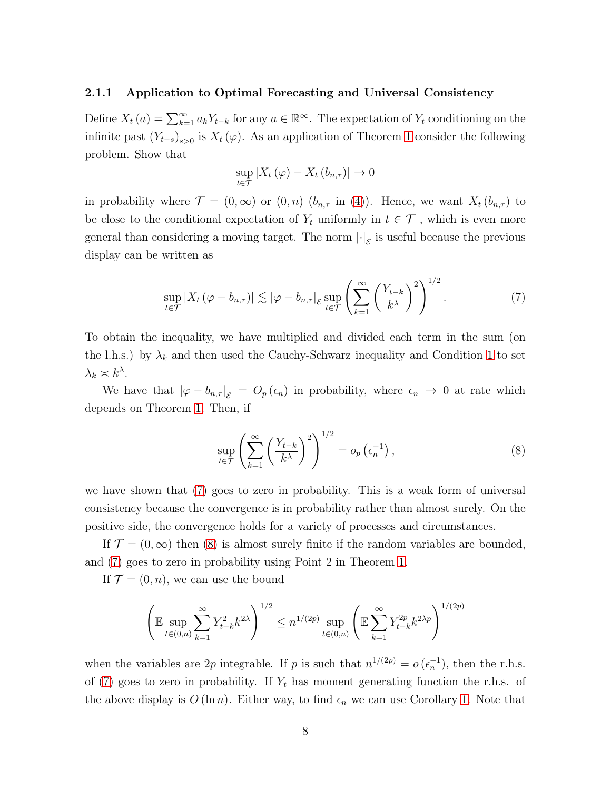#### <span id="page-7-0"></span>2.1.1 Application to Optimal Forecasting and Universal Consistency

Define  $X_t(a) = \sum_{k=1}^{\infty} a_k Y_{t-k}$  for any  $a \in \mathbb{R}^{\infty}$ . The expectation of  $Y_t$  conditioning on the infinite past  $(Y_{t-s})_{s>0}$  is  $X_t(\varphi)$ . As an application of Theorem [1](#page-5-1) consider the following problem. Show that

<span id="page-7-1"></span>
$$
\sup_{t\in\mathcal{T}}|X_t(\varphi)-X_t(b_{n,\tau})|\to 0
$$

in probability where  $\mathcal{T} = (0,\infty)$  or  $(0,n)$   $(b_{n,\tau}$  in [\(4\)](#page-3-1)). Hence, we want  $X_t(b_{n,\tau})$  to be close to the conditional expectation of  $Y_t$  uniformly in  $t \in \mathcal{T}$ , which is even more general than considering a moving target. The norm  $\lvert \cdot \rvert_{\mathcal{E}}$  is useful because the previous display can be written as

$$
\sup_{t \in \mathcal{T}} |X_t \left( \varphi - b_{n,\tau} \right)| \lesssim |\varphi - b_{n,\tau}|_{\mathcal{E}} \sup_{t \in \mathcal{T}} \left( \sum_{k=1}^{\infty} \left( \frac{Y_{t-k}}{k^{\lambda}} \right)^2 \right)^{1/2} . \tag{7}
$$

To obtain the inequality, we have multiplied and divided each term in the sum (on the l.h.s.) by  $\lambda_k$  and then used the Cauchy-Schwarz inequality and Condition [1](#page-2-0) to set  $\lambda_k \asymp k^{\lambda}$ .

We have that  $|\varphi - b_{n,\tau}|_{\mathcal{E}} = O_p(\epsilon_n)$  in probability, where  $\epsilon_n \to 0$  at rate which depends on Theorem [1.](#page-5-1) Then, if

<span id="page-7-2"></span>
$$
\sup_{t \in \mathcal{T}} \left( \sum_{k=1}^{\infty} \left( \frac{Y_{t-k}}{k^{\lambda}} \right)^2 \right)^{1/2} = o_p \left( \epsilon_n^{-1} \right), \tag{8}
$$

we have shown that [\(7\)](#page-7-1) goes to zero in probability. This is a weak form of universal consistency because the convergence is in probability rather than almost surely. On the positive side, the convergence holds for a variety of processes and circumstances.

If  $\mathcal{T} = (0, \infty)$  then [\(8\)](#page-7-2) is almost surely finite if the random variables are bounded, and [\(7\)](#page-7-1) goes to zero in probability using Point 2 in Theorem [1.](#page-5-1)

If  $\mathcal{T} = (0, n)$ , we can use the bound

$$
\left(\mathbb{E} \sup_{t \in (0,n)} \sum_{k=1}^{\infty} Y_{t-k}^2 k^{2\lambda} \right)^{1/2} \leq n^{1/(2p)} \sup_{t \in (0,n)} \left(\mathbb{E} \sum_{k=1}^{\infty} Y_{t-k}^{2p} k^{2\lambda p} \right)^{1/(2p)}
$$

when the variables are 2p integrable. If p is such that  $n^{1/(2p)} = o(\epsilon_n^{-1})$ , then the r.h.s. of [\(7\)](#page-7-1) goes to zero in probability. If  $Y_t$  has moment generating function the r.h.s. of the above display is  $O(\ln n)$ . Either way, to find  $\epsilon_n$  we can use Corollary [1.](#page-6-0) Note that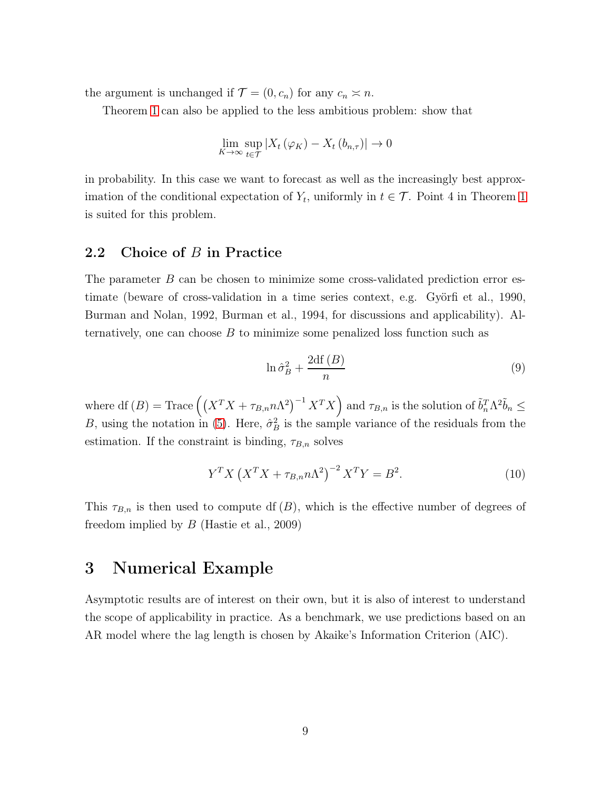the argument is unchanged if  $\mathcal{T} = (0, c_n)$  for any  $c_n \simeq n$ .

Theorem [1](#page-5-1) can also be applied to the less ambitious problem: show that

$$
\lim_{K \to \infty} \sup_{t \in \mathcal{T}} |X_t(\varphi_K) - X_t(b_{n,\tau})| \to 0
$$

in probability. In this case we want to forecast as well as the increasingly best approximation of the conditional expectation of  $Y_t$ , uniformly in  $t \in \mathcal{T}$ . Point 4 in Theorem [1](#page-5-1) is suited for this problem.

## <span id="page-8-1"></span>2.2 Choice of B in Practice

The parameter  $B$  can be chosen to minimize some cross-validated prediction error estimate (beware of cross-validation in a time series context, e.g. Györfi et al., 1990, Burman and Nolan, 1992, Burman et al., 1994, for discussions and applicability). Alternatively, one can choose  $B$  to minimize some penalized loss function such as

$$
\ln \hat{\sigma}_B^2 + \frac{2df(B)}{n} \tag{9}
$$

where df  $(B)$  = Trace  $((X^TX + \tau_{B,n} nA^2)^{-1} X^T X)$  and  $\tau_{B,n}$  is the solution of  $\tilde{b}_n^T \Lambda^2 \tilde{b}_n \le$ B, using the notation in [\(5\)](#page-4-0). Here,  $\hat{\sigma}_{B}^{2}$  is the sample variance of the residuals from the estimation. If the constraint is binding,  $\tau_{B,n}$  solves

$$
Y^T X \left( X^T X + \tau_{B,n} n \Lambda^2 \right)^{-2} X^T Y = B^2. \tag{10}
$$

This  $\tau_{B,n}$  is then used to compute df  $(B)$ , which is the effective number of degrees of freedom implied by  $B$  (Hastie et al., 2009)

# <span id="page-8-0"></span>3 Numerical Example

Asymptotic results are of interest on their own, but it is also of interest to understand the scope of applicability in practice. As a benchmark, we use predictions based on an AR model where the lag length is chosen by Akaike's Information Criterion (AIC).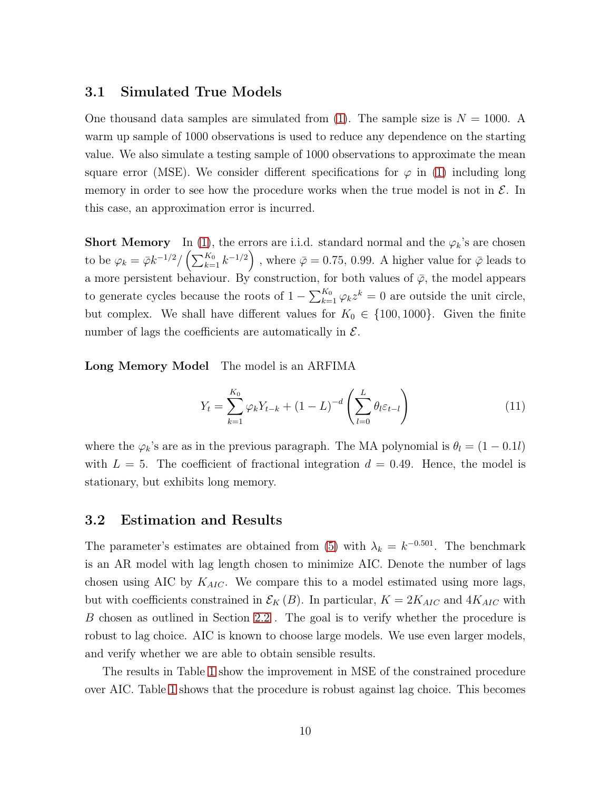#### 3.1 Simulated True Models

One thousand data samples are simulated from [\(1\)](#page-1-1). The sample size is  $N = 1000$ . A warm up sample of 1000 observations is used to reduce any dependence on the starting value. We also simulate a testing sample of 1000 observations to approximate the mean square error (MSE). We consider different specifications for  $\varphi$  in [\(1\)](#page-1-1) including long memory in order to see how the procedure works when the true model is not in  $\mathcal{E}$ . In this case, an approximation error is incurred.

**Short Memory** In [\(1\)](#page-1-1), the errors are i.i.d. standard normal and the  $\varphi_k$ 's are chosen to be  $\varphi_k = \bar{\varphi}k^{-1/2}/\left(\sum_{k=1}^{K_0} k^{-1/2}\right)$  , where  $\bar{\varphi} = 0.75, 0.99$ . A higher value for  $\bar{\varphi}$  leads to a more persistent behaviour. By construction, for both values of  $\bar{\varphi}$ , the model appears to generate cycles because the roots of  $1 - \sum_{k=1}^{K_0} \varphi_k z^k = 0$  are outside the unit circle, but complex. We shall have different values for  $K_0 \in \{100, 1000\}$ . Given the finite number of lags the coefficients are automatically in  $\mathcal{E}$ .

Long Memory Model The model is an ARFIMA

<span id="page-9-0"></span>
$$
Y_t = \sum_{k=1}^{K_0} \varphi_k Y_{t-k} + (1 - L)^{-d} \left( \sum_{l=0}^{L} \theta_l \varepsilon_{t-l} \right)
$$
 (11)

where the  $\varphi_k$ 's are as in the previous paragraph. The MA polynomial is  $\theta_l = (1 - 0.1l)$ with  $L = 5$ . The coefficient of fractional integration  $d = 0.49$ . Hence, the model is stationary, but exhibits long memory.

#### 3.2 Estimation and Results

The parameter's estimates are obtained from [\(5\)](#page-4-0) with  $\lambda_k = k^{-0.501}$ . The benchmark is an AR model with lag length chosen to minimize AIC. Denote the number of lags chosen using AIC by  $K_{AIC}$ . We compare this to a model estimated using more lags, but with coefficients constrained in  $\mathcal{E}_K(B)$ . In particular,  $K = 2K_{AIC}$  and  $4K_{AIC}$  with B chosen as outlined in Section [2.2](#page-8-1) . The goal is to verify whether the procedure is robust to lag choice. AIC is known to choose large models. We use even larger models, and verify whether we are able to obtain sensible results.

The results in Table [1](#page-10-1) show the improvement in MSE of the constrained procedure over AIC. Table [1](#page-10-1) shows that the procedure is robust against lag choice. This becomes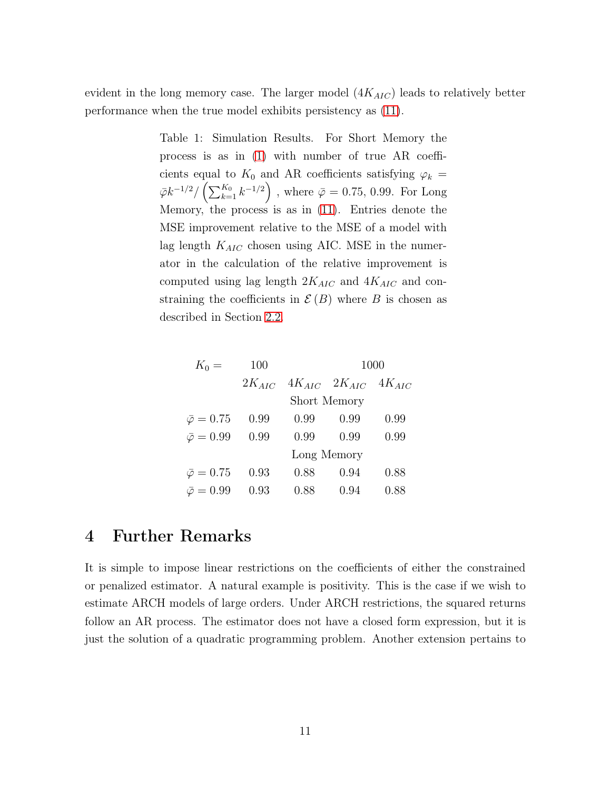<span id="page-10-1"></span>evident in the long memory case. The larger model  $(4K_{AIC})$  leads to relatively better performance when the true model exhibits persistency as [\(11\)](#page-9-0).

> Table 1: Simulation Results. For Short Memory the process is as in [\(1\)](#page-1-1) with number of true AR coefficients equal to  $K_0$  and AR coefficients satisfying  $\varphi_k =$  $\bar{\varphi}k^{-1/2}/\left(\sum_{k=1}^{K_0}k^{-1/2}\right)$  , where  $\bar{\varphi}=0.75,\,0.99.$  For Long Memory, the process is as in [\(11\)](#page-9-0). Entries denote the MSE improvement relative to the MSE of a model with lag length  $K_{AIC}$  chosen using AIC. MSE in the numerator in the calculation of the relative improvement is computed using lag length  $2K_{AIC}$  and  $4K_{AIC}$  and constraining the coefficients in  $\mathcal{E}(B)$  where B is chosen as described in Section [2.2.](#page-8-1)

| $K_0 =$                | 100          | 1000 |                                  |      |
|------------------------|--------------|------|----------------------------------|------|
|                        | $2K_{AIC}$   |      | $4K_{AIC}$ $2K_{AIC}$ $4K_{AIC}$ |      |
|                        | Short Memory |      |                                  |      |
| $\bar{\varphi} = 0.75$ | 0.99         | 0.99 | 0.99                             | 0.99 |
| $\bar{\varphi} = 0.99$ | 0.99         | 0.99 | 0.99                             | 0.99 |
|                        | Long Memory  |      |                                  |      |
| $\bar{\varphi} = 0.75$ | 0.93         | 0.88 | 0.94                             | 0.88 |
| $\bar{\varphi} = 0.99$ | 0.93         | 0.88 | 0.94                             | 0.88 |

## <span id="page-10-0"></span>4 Further Remarks

It is simple to impose linear restrictions on the coefficients of either the constrained or penalized estimator. A natural example is positivity. This is the case if we wish to estimate ARCH models of large orders. Under ARCH restrictions, the squared returns follow an AR process. The estimator does not have a closed form expression, but it is just the solution of a quadratic programming problem. Another extension pertains to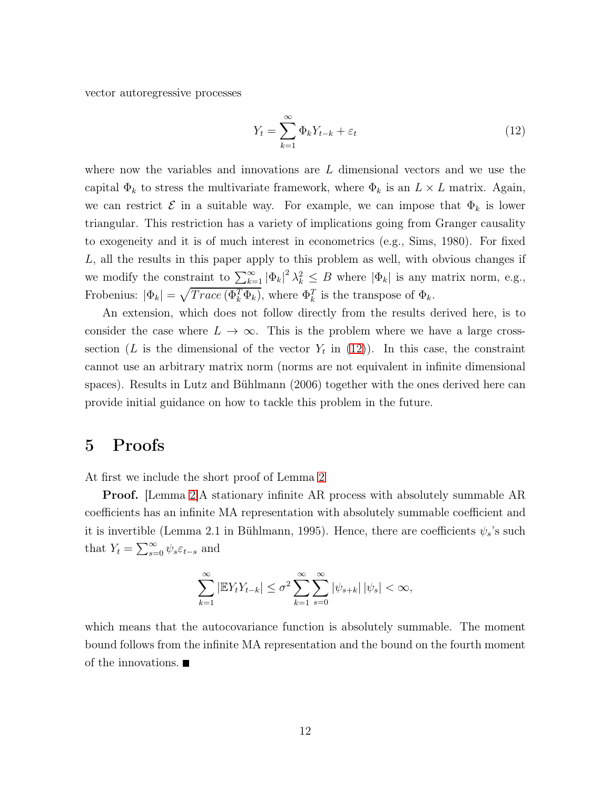vector autoregressive processes

<span id="page-11-1"></span>
$$
Y_t = \sum_{k=1}^{\infty} \Phi_k Y_{t-k} + \varepsilon_t \tag{12}
$$

where now the variables and innovations are  $L$  dimensional vectors and we use the capital  $\Phi_k$  to stress the multivariate framework, where  $\Phi_k$  is an  $L \times L$  matrix. Again, we can restrict  $\mathcal E$  in a suitable way. For example, we can impose that  $\Phi_k$  is lower triangular. This restriction has a variety of implications going from Granger causality to exogeneity and it is of much interest in econometrics (e.g., Sims, 1980). For fixed L, all the results in this paper apply to this problem as well, with obvious changes if we modify the constraint to  $\sum_{k=1}^{\infty} |\Phi_k|^2 \lambda_k^2 \leq B$  where  $|\Phi_k|$  is any matrix norm, e.g., Frobenius:  $|\Phi_k| = \sqrt{Trace(\Phi_k^T \Phi_k)},$  where  $\Phi_k^T$  is the transpose of  $\Phi_k$ .

An extension, which does not follow directly from the results derived here, is to consider the case where  $L \to \infty$ . This is the problem where we have a large crosssection (L is the dimensional of the vector  $Y_t$  in [\(12\)](#page-11-1)). In this case, the constraint cannot use an arbitrary matrix norm (norms are not equivalent in infinite dimensional spaces). Results in Lutz and Bühlmann (2006) together with the ones derived here can provide initial guidance on how to tackle this problem in the future.

# <span id="page-11-0"></span>5 Proofs

At first we include the short proof of Lemma [2](#page-2-1)

Proof. [Lemma [2\]](#page-2-1)A stationary infinite AR process with absolutely summable AR coefficients has an infinite MA representation with absolutely summable coefficient and it is invertible (Lemma 2.1 in Bühlmann, 1995). Hence, there are coefficients  $\psi_s$ 's such that  $Y_t = \sum_{s=0}^{\infty} \psi_s \varepsilon_{t-s}$  and

$$
\sum_{k=1}^{\infty} |\mathbb{E}Y_t Y_{t-k}| \leq \sigma^2 \sum_{k=1}^{\infty} \sum_{s=0}^{\infty} |\psi_{s+k}| |\psi_s| < \infty,
$$

which means that the autocovariance function is absolutely summable. The moment bound follows from the infinite MA representation and the bound on the fourth moment of the innovations.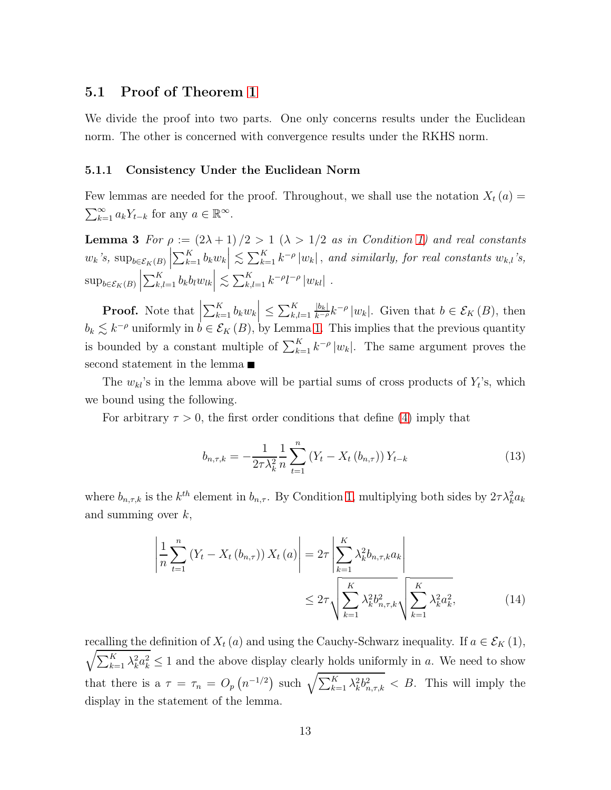## 5.1 Proof of Theorem [1](#page-5-1)

We divide the proof into two parts. One only concerns results under the Euclidean norm. The other is concerned with convergence results under the RKHS norm.

#### 5.1.1 Consistency Under the Euclidean Norm

<span id="page-12-1"></span>Few lemmas are needed for the proof. Throughout, we shall use the notation  $X_t(a) =$  $\sum_{k=1}^{\infty} a_k Y_{t-k}$  for any  $a \in \mathbb{R}^{\infty}$ .

**Lemma 3** For  $\rho := (2\lambda + 1)/2 > 1$  $\rho := (2\lambda + 1)/2 > 1$  $\rho := (2\lambda + 1)/2 > 1$  ( $\lambda > 1/2$  as in Condition 1) and real constants  $w_k$ 's, sup<sub>b∈ $\varepsilon_{K(B)}$ </sub>  $\left|\sum_{k=1}^K b_k w_k\right| \lesssim \sum_{k=1}^K k^{-\rho} |w_k|$ , and similarly, for real constants  $w_{k,l}$ 's,  $\sup_{b \in \mathcal{E}_K(B)}$  $\sum_{k,l=1}^{K} b_k b_l w_{lk} \leq \sum_{k,l=1}^{K} k^{-\rho} l^{-\rho} |w_{kl}|$ .

**Proof.** Note that  $\begin{bmatrix} 1 & 0 & 0 \\ 0 & 0 & 0 \\ 0 & 0 & 0 \\ 0 & 0 & 0 \\ 0 & 0 & 0 \\ 0 & 0 & 0 \\ 0 & 0 & 0 \\ 0 & 0 & 0 \\ 0 & 0 & 0 \\ 0 & 0 & 0 & 0 \\ 0 & 0 & 0 & 0 \\ 0 & 0 & 0 & 0 \\ 0 & 0 & 0 & 0 \\ 0 & 0 & 0 & 0 & 0 \\ 0 & 0 & 0 & 0 & 0 \\ 0 & 0 & 0 & 0 & 0 \\ 0 & 0 & 0 & 0 & 0 \\ 0 & 0 &$  $\left|\sum_{k=1}^K b_k w_k\right| \leq \sum_{k,l=1}^K$  $\frac{|b_k|}{k^{-\rho}}k^{-\rho} |w_k|$ . Given that  $b \in \mathcal{E}_K(B)$ , then  $b_k \lesssim k^{-\rho}$  uniformly in  $b \in \mathcal{E}_K(B)$ , by Lemma [1.](#page-2-2) This implies that the previous quantity is bounded by a constant multiple of  $\sum_{k=1}^{K} k^{-\rho} |w_k|$ . The same argument proves the second statement in the lemma

The  $w_{kl}$ 's in the lemma above will be partial sums of cross products of  $Y_t$ 's, which we bound using the following.

For arbitrary  $\tau > 0$ , the first order conditions that define [\(4\)](#page-3-1) imply that

<span id="page-12-2"></span>
$$
b_{n,\tau,k} = -\frac{1}{2\tau\lambda_k^2} \frac{1}{n} \sum_{t=1}^n \left( Y_t - X_t \left( b_{n,\tau} \right) \right) Y_{t-k} \tag{13}
$$

where  $b_{n,\tau,k}$  is the  $k^{th}$  element in  $b_{n,\tau}$ . By Condition [1,](#page-2-0) multiplying both sides by  $2\tau\lambda_k^2 a_k$ and summing over  $k$ ,

$$
\left| \frac{1}{n} \sum_{t=1}^{n} \left( Y_t - X_t \left( b_{n,\tau} \right) \right) X_t \left( a \right) \right| = 2\tau \left| \sum_{k=1}^{K} \lambda_k^2 b_{n,\tau,k} a_k \right|
$$
\n
$$
\leq 2\tau \sqrt{\sum_{k=1}^{K} \lambda_k^2 b_{n,\tau,k}^2} \sqrt{\sum_{k=1}^{K} \lambda_k^2 a_k^2}, \tag{14}
$$

<span id="page-12-0"></span>recalling the definition of  $X_t(a)$  and using the Cauchy-Schwarz inequality. If  $a \in \mathcal{E}_K(1)$ ,  $\sqrt{\sum_{k=1}^K \lambda_k^2 a_k^2} \leq 1$  and the above display clearly holds uniformly in a. We need to show that there is a  $\tau = \tau_n = O_p(n^{-1/2})$  such  $\sqrt{\sum_{k=1}^K \lambda_k^2 b_{n,\tau,k}^2} < B$ . This will imply the display in the statement of the lemma.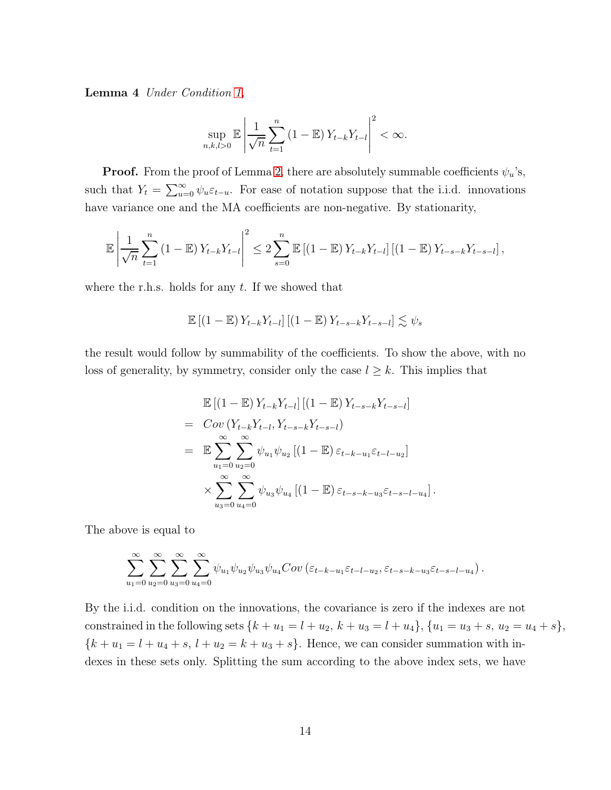Lemma 4 Under Condition [1,](#page-2-0)

$$
\sup_{n,k,l>0} \mathbb{E} \left| \frac{1}{\sqrt{n}} \sum_{t=1}^n (1 - \mathbb{E}) Y_{t-k} Y_{t-l} \right|^2 < \infty.
$$

**Proof.** From the proof of Lemma [2,](#page-2-1) there are absolutely summable coefficients  $\psi_u$ 's, such that  $Y_t = \sum_{u=0}^{\infty} \psi_u \varepsilon_{t-u}$ . For ease of notation suppose that the i.i.d. innovations have variance one and the MA coefficients are non-negative. By stationarity,

$$
\mathbb{E}\left|\frac{1}{\sqrt{n}}\sum_{t=1}^{n}\left(1-\mathbb{E}\right)Y_{t-k}Y_{t-l}\right|^2 \leq 2\sum_{s=0}^{n}\mathbb{E}\left[\left(1-\mathbb{E}\right)Y_{t-k}Y_{t-l}\right]\left[\left(1-\mathbb{E}\right)Y_{t-s-k}Y_{t-s-l}\right],
$$

where the r.h.s. holds for any  $t$ . If we showed that

$$
\mathbb{E}\left[\left(1-\mathbb{E}\right)Y_{t-k}Y_{t-l}\right]\left[\left(1-\mathbb{E}\right)Y_{t-s-k}Y_{t-s-l}\right]\lesssim\psi_s
$$

the result would follow by summability of the coefficients. To show the above, with no loss of generality, by symmetry, consider only the case  $l \geq k$ . This implies that

$$
\mathbb{E} [(1 - \mathbb{E}) Y_{t-k} Y_{t-l}] [(1 - \mathbb{E}) Y_{t-s-k} Y_{t-s-l}]
$$
\n
$$
= Cov (Y_{t-k} Y_{t-l}, Y_{t-s-k} Y_{t-s-l})
$$
\n
$$
= \mathbb{E} \sum_{u_1=0}^{\infty} \sum_{u_2=0}^{\infty} \psi_{u_1} \psi_{u_2} [(1 - \mathbb{E}) \varepsilon_{t-k-u_1} \varepsilon_{t-l-u_2}]
$$
\n
$$
\times \sum_{u_3=0}^{\infty} \sum_{u_4=0}^{\infty} \psi_{u_3} \psi_{u_4} [(1 - \mathbb{E}) \varepsilon_{t-s-k-u_3} \varepsilon_{t-s-l-u_4}].
$$

The above is equal to

$$
\sum_{u_1=0}^{\infty} \sum_{u_2=0}^{\infty} \sum_{u_3=0}^{\infty} \sum_{u_4=0}^{\infty} \psi_{u_1} \psi_{u_2} \psi_{u_3} \psi_{u_4} Cov\left(\varepsilon_{t-k-u_1}\varepsilon_{t-l-u_2}, \varepsilon_{t-s-k-u_3}\varepsilon_{t-s-l-u_4}\right).
$$

By the i.i.d. condition on the innovations, the covariance is zero if the indexes are not constrained in the following sets  $\{k + u_1 = l + u_2, k + u_3 = l + u_4\}, \{u_1 = u_3 + s, u_2 = u_4 + s\},\$  ${k + u_1 = l + u_4 + s, l + u_2 = k + u_3 + s}.$  Hence, we can consider summation with indexes in these sets only. Splitting the sum according to the above index sets, we have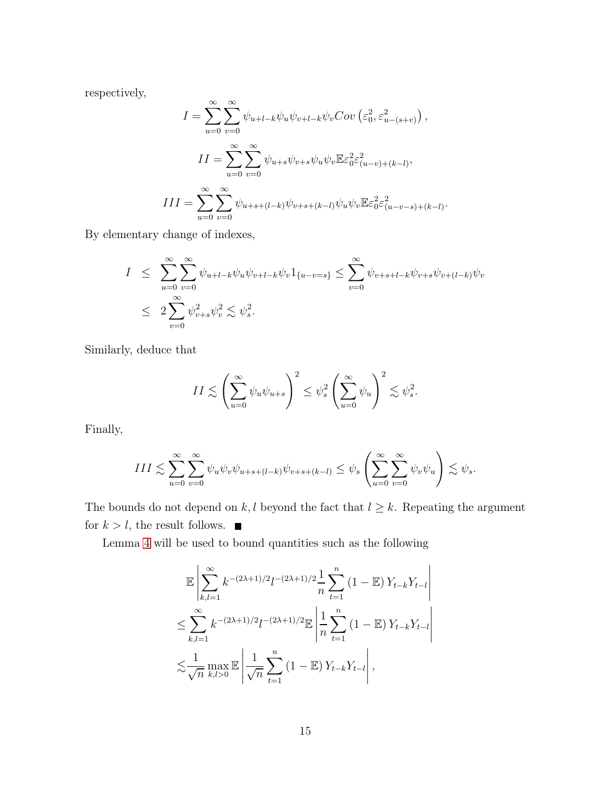respectively,

$$
I = \sum_{u=0}^{\infty} \sum_{v=0}^{\infty} \psi_{u+l-k} \psi_u \psi_{v+l-k} \psi_v Cov \left( \varepsilon_0^2, \varepsilon_{u-(s+v)}^2 \right),
$$
  
\n
$$
II = \sum_{u=0}^{\infty} \sum_{v=0}^{\infty} \psi_{u+s} \psi_{v+s} \psi_u \psi_v \mathbb{E} \varepsilon_0^2 \varepsilon_{(u-v)+(k-l)}^2,
$$
  
\n
$$
III = \sum_{u=0}^{\infty} \sum_{v=0}^{\infty} \psi_{u+s+(l-k)} \psi_{v+s+(k-l)} \psi_u \psi_v \mathbb{E} \varepsilon_0^2 \varepsilon_{(u-v-s)+(k-l)}^2.
$$

By elementary change of indexes,

$$
I \leq \sum_{u=0}^{\infty} \sum_{v=0}^{\infty} \psi_{u+l-k} \psi_u \psi_{v+l-k} \psi_v 1_{\{u-v=s\}} \leq \sum_{v=0}^{\infty} \psi_{v+s+l-k} \psi_{v+s} \psi_{v+(l-k)} \psi_v
$$
  

$$
\leq 2 \sum_{v=0}^{\infty} \psi_{v+s}^2 \psi_v^2 \leq \psi_s^2.
$$

Similarly, deduce that

$$
II \lesssim \left(\sum_{u=0}^{\infty} \psi_u \psi_{u+s}\right)^2 \leq \psi_s^2 \left(\sum_{u=0}^{\infty} \psi_u\right)^2 \lesssim \psi_s^2.
$$

Finally,

$$
III \lesssim \sum_{u=0}^{\infty} \sum_{v=0}^{\infty} \psi_u \psi_v \psi_{u+s+(l-k)} \psi_{v+s+(k-l)} \leq \psi_s \left( \sum_{u=0}^{\infty} \sum_{v=0}^{\infty} \psi_v \psi_u \right) \lesssim \psi_s.
$$

The bounds do not depend on  $k, l$  beyond the fact that  $l \geq k$ . Repeating the argument for  $k > l$ , the result follows.  $\blacksquare$ 

Lemma [4](#page-12-0) will be used to bound quantities such as the following

$$
\mathbb{E}\left|\sum_{k,l=1}^{\infty}k^{-(2\lambda+1)/2}l^{-(2\lambda+1)/2}\frac{1}{n}\sum_{t=1}^{n}(1-\mathbb{E})Y_{t-k}Y_{t-l}\right|
$$
  

$$
\leq \sum_{k,l=1}^{\infty}k^{-(2\lambda+1)/2}l^{-(2\lambda+1)/2}\mathbb{E}\left|\frac{1}{n}\sum_{t=1}^{n}(1-\mathbb{E})Y_{t-k}Y_{t-l}\right|
$$
  

$$
\lesssim \frac{1}{\sqrt{n}}\max_{k,l>0}\mathbb{E}\left|\frac{1}{\sqrt{n}}\sum_{t=1}^{n}(1-\mathbb{E})Y_{t-k}Y_{t-l}\right|,
$$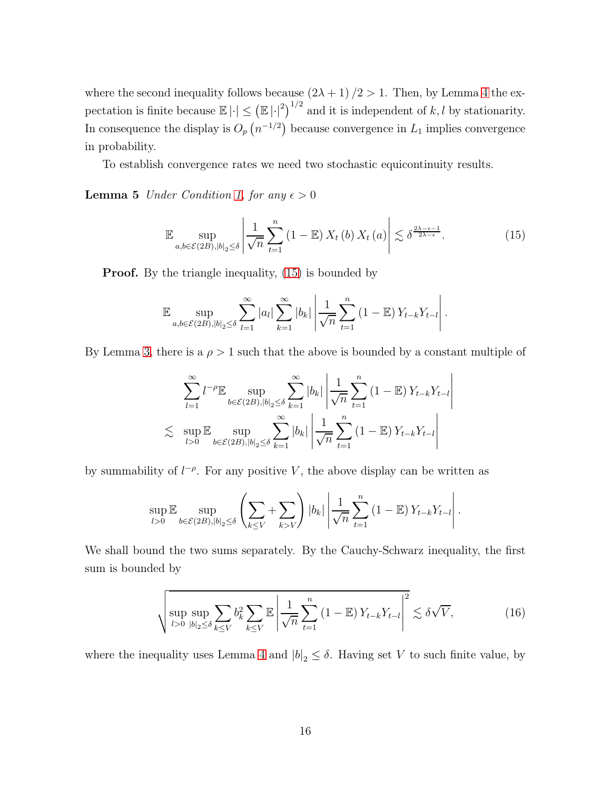where the second inequality follows because  $(2\lambda + 1)/2 > 1$ . Then, by Lemma [4](#page-12-0) the expectation is finite because  $\mathbb{E}|\cdot| \leq (\mathbb{E}|\cdot|^2)^{1/2}$  and it is independent of k, l by stationarity. In consequence the display is  $O_p(n^{-1/2})$  because convergence in  $L_1$  implies convergence in probability.

<span id="page-15-1"></span>To establish convergence rates we need two stochastic equicontinuity results.

**Lemma 5** Under Condition [1,](#page-2-0) for any  $\epsilon > 0$ 

<span id="page-15-0"></span>
$$
\mathbb{E}\sup_{a,b\in\mathcal{E}(2B),|b|_2\leq\delta}\left|\frac{1}{\sqrt{n}}\sum_{t=1}^n\left(1-\mathbb{E}\right)X_t\left(b\right)X_t\left(a\right)\right|\lesssim\delta^{\frac{2\lambda-\epsilon-1}{2\lambda-\epsilon}}.\tag{15}
$$

**Proof.** By the triangle inequality,  $(15)$  is bounded by

$$
\mathbb{E}\sup_{a,b\in\mathcal{E}(2B),|b|_2\leq\delta}\sum_{l=1}^{\infty}|a_l|\sum_{k=1}^{\infty}|b_k|\left|\frac{1}{\sqrt{n}}\sum_{t=1}^n\left(1-\mathbb{E}\right)Y_{t-k}Y_{t-l}\right|.
$$

By Lemma [3,](#page-12-1) there is a  $\rho > 1$  such that the above is bounded by a constant multiple of

$$
\sum_{l=1}^{\infty} l^{-\rho} \mathbb{E} \sup_{b \in \mathcal{E}(2B), |b|_2 \le \delta} \sum_{k=1}^{\infty} |b_k| \left| \frac{1}{\sqrt{n}} \sum_{t=1}^n (1 - \mathbb{E}) Y_{t-k} Y_{t-l} \right|
$$
  

$$
\lesssim \sup_{l>0} \mathbb{E} \sup_{b \in \mathcal{E}(2B), |b|_2 \le \delta} \sum_{k=1}^{\infty} |b_k| \left| \frac{1}{\sqrt{n}} \sum_{t=1}^n (1 - \mathbb{E}) Y_{t-k} Y_{t-l} \right|
$$

by summability of  $l^{-\rho}$ . For any positive V, the above display can be written as

$$
\sup_{l>0} \mathbb{E} \sup_{b \in \mathcal{E}(2B), |b|_2 \le \delta} \left( \sum_{k \le V} + \sum_{k>V} \right) |b_k| \left| \frac{1}{\sqrt{n}} \sum_{t=1}^n (1 - \mathbb{E}) Y_{t-k} Y_{t-l} \right|.
$$

We shall bound the two sums separately. By the Cauchy-Schwarz inequality, the first sum is bounded by

$$
\sqrt{\sup_{l>0} \sup_{|b|_2 \le \delta} \sum_{k \le V} b_k^2 \sum_{k \le V} \mathbb{E} \left| \frac{1}{\sqrt{n}} \sum_{t=1}^n (1 - \mathbb{E}) Y_{t-k} Y_{t-l} \right|^2} \lesssim \delta \sqrt{V},\tag{16}
$$

where the inequality uses Lemma [4](#page-12-0) and  $|b|_2 \leq \delta$ . Having set V to such finite value, by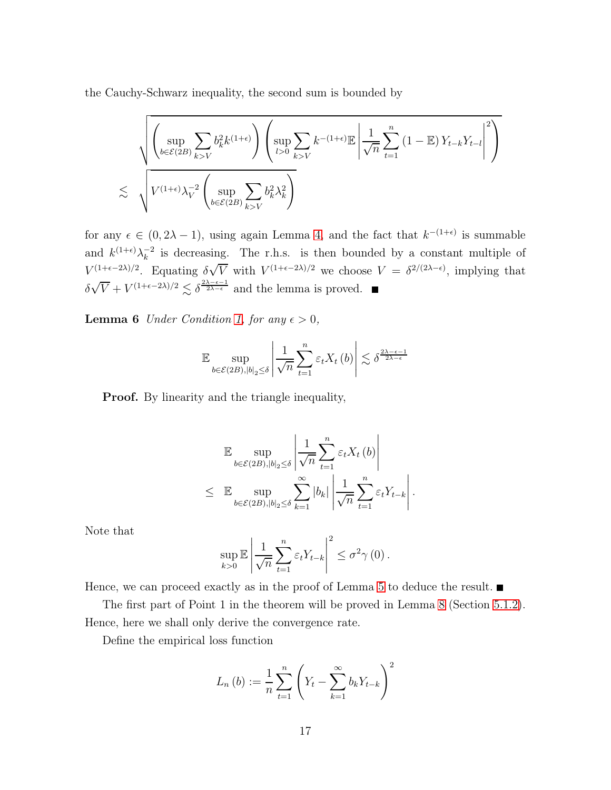the Cauchy-Schwarz inequality, the second sum is bounded by

$$
\sqrt{\left(\sup_{b\in\mathcal{E}(2B)}\sum_{k>V}b_k^2k^{(1+\epsilon)}\right)\left(\sup_{l>0}\sum_{k>V}k^{-(1+\epsilon)}\mathbb{E}\left|\frac{1}{\sqrt{n}}\sum_{t=1}^n\left(1-\mathbb{E}\right)Y_{t-k}Y_{t-l}\right|^2\right)}
$$
  

$$
\lesssim \sqrt{V^{(1+\epsilon)}\lambda_V^{-2}\left(\sup_{b\in\mathcal{E}(2B)}\sum_{k>V}b_k^2\lambda_k^2\right)}
$$

for any  $\epsilon \in (0, 2\lambda - 1)$ , using again Lemma [4,](#page-12-0) and the fact that  $k^{-(1+\epsilon)}$  is summable and  $k^{(1+\epsilon)}\lambda_k^{-2}$  $k<sup>2</sup>$  is decreasing. The r.h.s. is then bounded by a constant multiple of  $V^{(1+\epsilon-2\lambda)/2}$ . Equating  $\delta \sqrt{V}$  with  $V^{(1+\epsilon-2\lambda)/2}$  we choose  $V = \delta^{2/(2\lambda-\epsilon)}$ , implying that  $\delta\sqrt{V} + V^{(1+\epsilon-2\lambda)/2} \lesssim \delta^{\frac{2\lambda-\epsilon-1}{2\lambda-\epsilon}}$  and the lemma is proved.

<span id="page-16-0"></span>**Lemma 6** Under Condition [1,](#page-2-0) for any  $\epsilon > 0$ ,

$$
\mathbb{E} \sup_{b \in \mathcal{E}(2B), |b|_2 \le \delta} \left| \frac{1}{\sqrt{n}} \sum_{t=1}^n \varepsilon_t X_t(b) \right| \lesssim \delta^{\frac{2\lambda - \epsilon - 1}{2\lambda - \epsilon}}
$$

Proof. By linearity and the triangle inequality,

$$
\mathbb{E} \sup_{b \in \mathcal{E}(2B), |b|_2 \le \delta} \left| \frac{1}{\sqrt{n}} \sum_{t=1}^n \varepsilon_t X_t(b) \right|
$$
  

$$
\leq \mathbb{E} \sup_{b \in \mathcal{E}(2B), |b|_2 \le \delta} \sum_{k=1}^\infty |b_k| \left| \frac{1}{\sqrt{n}} \sum_{t=1}^n \varepsilon_t Y_{t-k} \right|.
$$

Note that

$$
\sup_{k>0} \mathbb{E} \left| \frac{1}{\sqrt{n}} \sum_{t=1}^{n} \varepsilon_t Y_{t-k} \right|^2 \leq \sigma^2 \gamma(0).
$$

Hence, we can proceed exactly as in the proof of Lemma [5](#page-15-1) to deduce the result.  $\blacksquare$ 

The first part of Point 1 in the theorem will be proved in Lemma [8](#page-20-0) (Section [5.1.2\)](#page-18-0). Hence, here we shall only derive the convergence rate.

Define the empirical loss function

$$
L_n (b) := \frac{1}{n} \sum_{t=1}^n \left( Y_t - \sum_{k=1}^\infty b_k Y_{t-k} \right)^2
$$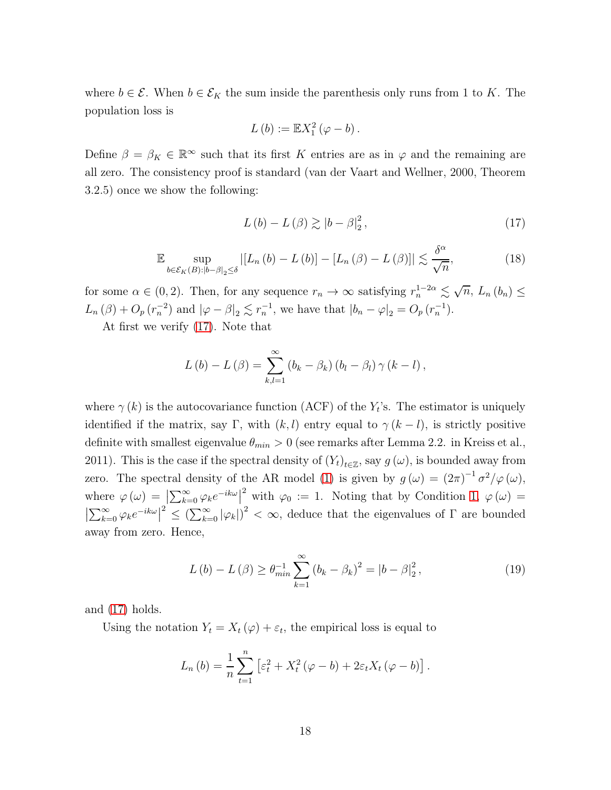where  $b \in \mathcal{E}$ . When  $b \in \mathcal{E}_K$  the sum inside the parenthesis only runs from 1 to K. The population loss is

$$
L(b) := \mathbb{E} X_1^2 (\varphi - b).
$$

Define  $\beta = \beta_K \in \mathbb{R}^\infty$  such that its first K entries are as in  $\varphi$  and the remaining are all zero. The consistency proof is standard (van der Vaart and Wellner, 2000, Theorem 3.2.5) once we show the following:

<span id="page-17-0"></span>
$$
L(b) - L(\beta) \gtrsim |b - \beta|_2^2, \qquad (17)
$$

<span id="page-17-1"></span>
$$
\mathbb{E} \sup_{b \in \mathcal{E}_K(B): |b - \beta|_2 \le \delta} |[L_n(b) - L(b)] - [L_n(\beta) - L(\beta)]| \lesssim \frac{\delta^{\alpha}}{\sqrt{n}},
$$
\n(18)

for some  $\alpha \in (0, 2)$ . Then, for any sequence  $r_n \to \infty$  satisfying  $r_n^{1-2\alpha} \lesssim \sqrt{n}$ ,  $L_n(b_n) \le$  $L_n(\beta) + O_p(r_n^{-2})$  and  $|\varphi - \beta|_2 \lesssim r_n^{-1}$ , we have that  $|b_n - \varphi|_2 = O_p(r_n^{-1})$ .

At first we verify [\(17\)](#page-17-0). Note that

$$
L(b) - L(\beta) = \sum_{k,l=1}^{\infty} (b_k - \beta_k) (b_l - \beta_l) \gamma (k - l),
$$

where  $\gamma(k)$  is the autocovariance function (ACF) of the  $Y_t$ 's. The estimator is uniquely identified if the matrix, say Γ, with  $(k, l)$  entry equal to  $\gamma (k - l)$ , is strictly positive definite with smallest eigenvalue  $\theta_{min} > 0$  (see remarks after Lemma 2.2. in Kreiss et al., 2011). This is the case if the spectral density of  $(Y_t)_{t \in \mathbb{Z}}$ , say  $g(\omega)$ , is bounded away from zero. The spectral density of the AR model [\(1\)](#page-1-1) is given by  $g(\omega) = (2\pi)^{-1} \sigma^2/\varphi(\omega)$ , where  $\varphi(\omega) = \left| \sum_{k=0}^{\infty} \varphi_k e^{-ik\omega} \right|$ <sup>2</sup> with  $\varphi_0 := 1$ . Noting that by Condition [1,](#page-2-0)  $\varphi(\omega) =$  $\left|\sum_{k=0}^{\infty}\varphi_{k}e^{-ik\omega}\right|^{2} \leq \left(\sum_{k=0}^{\infty}|\varphi_{k}|\right)^{2} < \infty$ , deduce that the eigenvalues of  $\Gamma$  are bounded away from zero. Hence,

<span id="page-17-2"></span>
$$
L(b) - L(\beta) \ge \theta_{\min}^{-1} \sum_{k=1}^{\infty} (b_k - \beta_k)^2 = |b - \beta|_2^2, \qquad (19)
$$

and [\(17\)](#page-17-0) holds.

Using the notation  $Y_t = X_t(\varphi) + \varepsilon_t$ , the empirical loss is equal to

$$
L_n(b) = \frac{1}{n} \sum_{t=1}^n \left[ \varepsilon_t^2 + X_t^2(\varphi - b) + 2\varepsilon_t X_t(\varphi - b) \right].
$$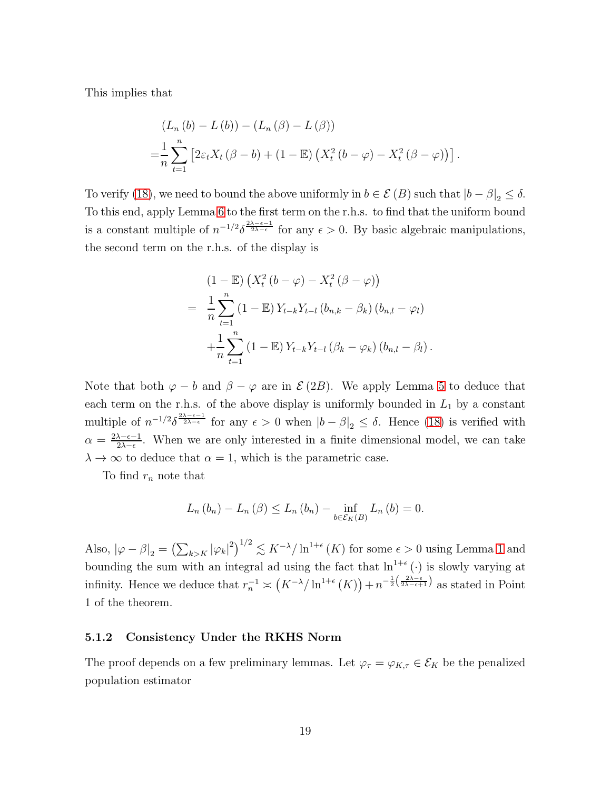This implies that

$$
(L_n(b) - L(b)) - (L_n(\beta) - L(\beta))
$$
  
=  $\frac{1}{n} \sum_{t=1}^n \left[2\varepsilon_t X_t(\beta - b) + (1 - \mathbb{E})\left(X_t^2(b - \varphi) - X_t^2(\beta - \varphi)\right)\right].$ 

To verify [\(18\)](#page-17-1), we need to bound the above uniformly in  $b \in \mathcal{E}(B)$  such that  $|b - \beta|_2 \le \delta$ . To this end, apply Lemma [6](#page-16-0) to the first term on the r.h.s. to find that the uniform bound is a constant multiple of  $n^{-1/2}\delta^{\frac{2\lambda-\epsilon-1}{2\lambda-\epsilon}}$  for any  $\epsilon > 0$ . By basic algebraic manipulations, the second term on the r.h.s. of the display is

$$
(1 - \mathbb{E}) \left( X_t^2 (b - \varphi) - X_t^2 (\beta - \varphi) \right)
$$
  
= 
$$
\frac{1}{n} \sum_{t=1}^n (1 - \mathbb{E}) Y_{t-k} Y_{t-l} (b_{n,k} - \beta_k) (b_{n,l} - \varphi_l)
$$
  
+ 
$$
\frac{1}{n} \sum_{t=1}^n (1 - \mathbb{E}) Y_{t-k} Y_{t-l} (\beta_k - \varphi_k) (b_{n,l} - \beta_l).
$$

Note that both  $\varphi - b$  and  $\beta - \varphi$  are in  $\mathcal{E}(2B)$ . We apply Lemma [5](#page-15-1) to deduce that each term on the r.h.s. of the above display is uniformly bounded in  $L_1$  by a constant multiple of  $n^{-1/2}\delta^{\frac{2\lambda-\epsilon-1}{2\lambda-\epsilon}}$  for any  $\epsilon > 0$  when  $|b-\beta|_2 \leq \delta$ . Hence [\(18\)](#page-17-1) is verified with  $\alpha = \frac{2\lambda - \epsilon - 1}{2\lambda - \epsilon}$  $\frac{\lambda-\epsilon-1}{2\lambda-\epsilon}$ . When we are only interested in a finite dimensional model, we can take  $\lambda \to \infty$  to deduce that  $\alpha = 1$ , which is the parametric case.

To find  $r_n$  note that

$$
L_n(b_n) - L_n(\beta) \le L_n(b_n) - \inf_{b \in \mathcal{E}_K(B)} L_n(b) = 0.
$$

Also,  $|\varphi - \beta|_2 = \left(\sum_{k > K} |\varphi_k|^2\right)^{1/2} \lesssim K^{-\lambda} / \ln^{1+\epsilon}(K)$  for some  $\epsilon > 0$  using Lemma [1](#page-2-2) and bounding the sum with an integral ad using the fact that  $\ln^{1+\epsilon}(\cdot)$  is slowly varying at infinity. Hence we deduce that  $r_n^{-1} \asymp (K^{-\lambda}/\ln^{1+\epsilon}(K)) + n^{-\frac{1}{2}(\frac{2\lambda-\epsilon}{2\lambda-\epsilon+1})}$  as stated in Point 1 of the theorem.

#### <span id="page-18-0"></span>5.1.2 Consistency Under the RKHS Norm

The proof depends on a few preliminary lemmas. Let  $\varphi_{\tau} = \varphi_{K,\tau} \in \mathcal{E}_K$  be the penalized population estimator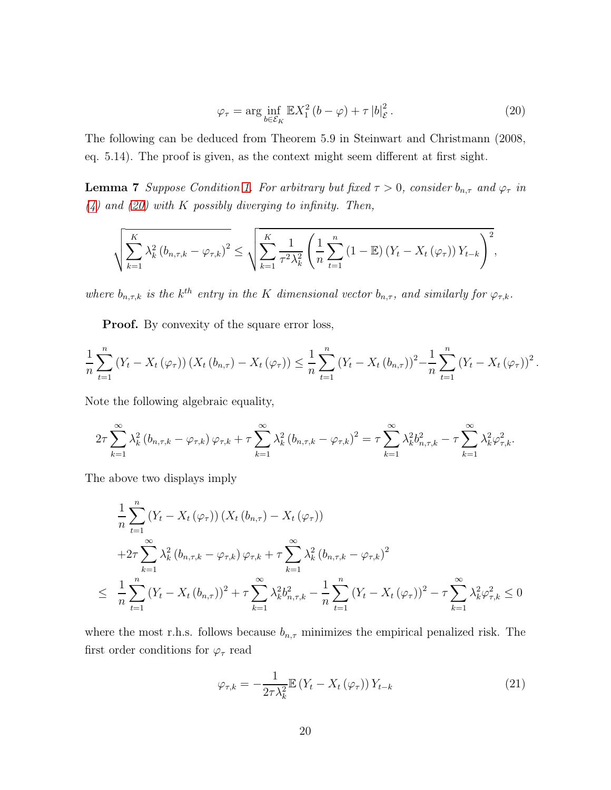<span id="page-19-0"></span>
$$
\varphi_{\tau} = \arg \inf_{b \in \mathcal{E}_K} \mathbb{E} X_1^2 \left( b - \varphi \right) + \tau \left| b \right|_{\mathcal{E}}^2.
$$
 (20)

<span id="page-19-1"></span>The following can be deduced from Theorem 5.9 in Steinwart and Christmann (2008, eq. 5.14). The proof is given, as the context might seem different at first sight.

**Lemma 7** Suppose Condition [1.](#page-2-0) For arbitrary but fixed  $\tau > 0$ , consider  $b_{n,\tau}$  and  $\varphi_{\tau}$  in  $(4)$  and  $(20)$  with K possibly diverging to infinity. Then,

$$
\sqrt{\sum_{k=1}^{K} \lambda_k^2 (b_{n,\tau,k} - \varphi_{\tau,k})^2} \le \sqrt{\sum_{k=1}^{K} \frac{1}{\tau^2 \lambda_k^2} \left( \frac{1}{n} \sum_{t=1}^{n} (1 - \mathbb{E}) (Y_t - X_t(\varphi_{\tau})) Y_{t-k} \right)^2},
$$

where  $b_{n,\tau,k}$  is the k<sup>th</sup> entry in the K dimensional vector  $b_{n,\tau}$ , and similarly for  $\varphi_{\tau,k}$ .

Proof. By convexity of the square error loss,

$$
\frac{1}{n}\sum_{t=1}^{n}(Y_{t}-X_{t}(\varphi_{\tau}))(X_{t}(b_{n,\tau})-X_{t}(\varphi_{\tau}))\leq \frac{1}{n}\sum_{t=1}^{n}(Y_{t}-X_{t}(b_{n,\tau}))^{2}-\frac{1}{n}\sum_{t=1}^{n}(Y_{t}-X_{t}(\varphi_{\tau}))^{2}.
$$

Note the following algebraic equality,

$$
2\tau \sum_{k=1}^{\infty} \lambda_k^2 (b_{n,\tau,k} - \varphi_{\tau,k}) \varphi_{\tau,k} + \tau \sum_{k=1}^{\infty} \lambda_k^2 (b_{n,\tau,k} - \varphi_{\tau,k})^2 = \tau \sum_{k=1}^{\infty} \lambda_k^2 b_{n,\tau,k}^2 - \tau \sum_{k=1}^{\infty} \lambda_k^2 \varphi_{\tau,k}^2.
$$

The above two displays imply

$$
\frac{1}{n} \sum_{t=1}^{n} (Y_t - X_t(\varphi_\tau)) (X_t(b_{n,\tau}) - X_t(\varphi_\tau))
$$
\n
$$
+ 2\tau \sum_{k=1}^{\infty} \lambda_k^2 (b_{n,\tau,k} - \varphi_{\tau,k}) \varphi_{\tau,k} + \tau \sum_{k=1}^{\infty} \lambda_k^2 (b_{n,\tau,k} - \varphi_{\tau,k})^2
$$
\n
$$
\leq \frac{1}{n} \sum_{t=1}^{n} (Y_t - X_t(b_{n,\tau}))^2 + \tau \sum_{k=1}^{\infty} \lambda_k^2 b_{n,\tau,k}^2 - \frac{1}{n} \sum_{t=1}^{n} (Y_t - X_t(\varphi_\tau))^2 - \tau \sum_{k=1}^{\infty} \lambda_k^2 \varphi_{\tau,k}^2 \leq 0
$$

where the most r.h.s. follows because  $b_{n,\tau}$  minimizes the empirical penalized risk. The first order conditions for  $\varphi_{\tau}$  read

$$
\varphi_{\tau,k} = -\frac{1}{2\tau\lambda_k^2} \mathbb{E}\left(Y_t - X_t\left(\varphi_\tau\right)\right) Y_{t-k} \tag{21}
$$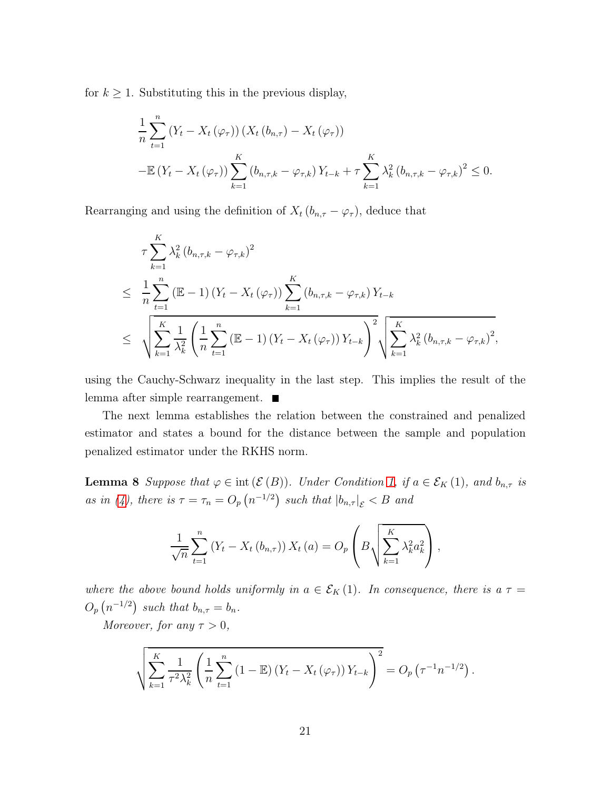for  $k \geq 1$ . Substituting this in the previous display,

$$
\frac{1}{n} \sum_{t=1}^{n} (Y_t - X_t(\varphi_{\tau})) (X_t(b_{n,\tau}) - X_t(\varphi_{\tau}))
$$
  
- $\mathbb{E} (Y_t - X_t(\varphi_{\tau})) \sum_{k=1}^{K} (b_{n,\tau,k} - \varphi_{\tau,k}) Y_{t-k} + \tau \sum_{k=1}^{K} \lambda_k^2 (b_{n,\tau,k} - \varphi_{\tau,k})^2 \leq 0.$ 

Rearranging and using the definition of  $X_t$  ( $b_{n,\tau}$  –  $\varphi_{\tau}$ ), deduce that

$$
\tau \sum_{k=1}^{K} \lambda_{k}^{2} (b_{n,\tau,k} - \varphi_{\tau,k})^{2}
$$
\n
$$
\leq \frac{1}{n} \sum_{t=1}^{n} (\mathbb{E} - 1) (Y_{t} - X_{t}(\varphi_{\tau})) \sum_{k=1}^{K} (b_{n,\tau,k} - \varphi_{\tau,k}) Y_{t-k}
$$
\n
$$
\leq \sqrt{\sum_{k=1}^{K} \frac{1}{\lambda_{k}^{2}} \left( \frac{1}{n} \sum_{t=1}^{n} (\mathbb{E} - 1) (Y_{t} - X_{t}(\varphi_{\tau})) Y_{t-k} \right)^{2}} \sqrt{\sum_{k=1}^{K} \lambda_{k}^{2} (b_{n,\tau,k} - \varphi_{\tau,k})^{2}},
$$

using the Cauchy-Schwarz inequality in the last step. This implies the result of the lemma after simple rearrangement.

<span id="page-20-0"></span>The next lemma establishes the relation between the constrained and penalized estimator and states a bound for the distance between the sample and population penalized estimator under the RKHS norm.

**Lemma 8** Suppose that  $\varphi \in \text{int}(\mathcal{E}(B))$ . Under Condition [1,](#page-2-0) if  $a \in \mathcal{E}_K(1)$ , and  $b_{n,\tau}$  is as in [\(4\)](#page-3-1), there is  $\tau = \tau_n = O_p\left(n^{-1/2}\right)$  such that  $|b_{n,\tau}|_{\mathcal{E}} < B$  and

$$
\frac{1}{\sqrt{n}} \sum_{t=1}^{n} (Y_t - X_t (b_{n,\tau})) X_t (a) = O_p \left( B \sqrt{\sum_{k=1}^{K} \lambda_k^2 a_k^2} \right),
$$

where the above bound holds uniformly in  $a \in \mathcal{E}_K(1)$ . In consequence, there is  $a \tau =$  $O_p\left(n^{-1/2}\right)$  such that  $b_{n,\tau} = b_n$ .

Moreover, for any  $\tau > 0$ ,

$$
\sqrt{\sum_{k=1}^{K} \frac{1}{\tau^2 \lambda_k^2} \left( \frac{1}{n} \sum_{t=1}^{n} (1 - \mathbb{E}) \left( Y_t - X_t (\varphi_{\tau}) \right) Y_{t-k} \right)^2} = O_p \left( \tau^{-1} n^{-1/2} \right).
$$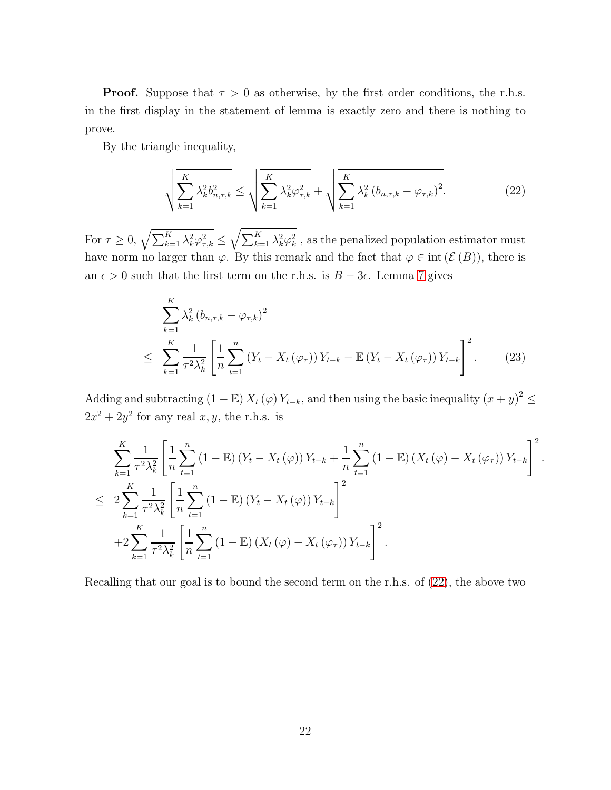**Proof.** Suppose that  $\tau > 0$  as otherwise, by the first order conditions, the r.h.s. in the first display in the statement of lemma is exactly zero and there is nothing to prove.

By the triangle inequality,

<span id="page-21-0"></span>
$$
\sqrt{\sum_{k=1}^{K} \lambda_{k}^{2} b_{n,\tau,k}^{2}} \leq \sqrt{\sum_{k=1}^{K} \lambda_{k}^{2} \varphi_{\tau,k}^{2}} + \sqrt{\sum_{k=1}^{K} \lambda_{k}^{2} (b_{n,\tau,k} - \varphi_{\tau,k})^{2}}.
$$
 (22)

For  $\tau \geq 0$ ,  $\sqrt{\sum_{k=1}^K \lambda_k^2 \varphi_{\tau,k}^2} \leq \sqrt{\sum_{k=1}^K \lambda_k^2 \varphi_k^2}$ , as the penalized population estimator must have norm no larger than  $\varphi$ . By this remark and the fact that  $\varphi \in \text{int}(\mathcal{E}(B))$ , there is an  $\epsilon > 0$  such that the first term on the r.h.s. is  $B - 3\epsilon$ . Lemma [7](#page-19-1) gives

<span id="page-21-1"></span>
$$
\sum_{k=1}^{K} \lambda_{k}^{2} (b_{n,\tau,k} - \varphi_{\tau,k})^{2}
$$
\n
$$
\leq \sum_{k=1}^{K} \frac{1}{\tau^{2} \lambda_{k}^{2}} \left[ \frac{1}{n} \sum_{t=1}^{n} (Y_{t} - X_{t}(\varphi_{\tau})) Y_{t-k} - \mathbb{E} (Y_{t} - X_{t}(\varphi_{\tau})) Y_{t-k} \right]^{2}.
$$
\n(23)

Adding and subtracting  $(1 - \mathbb{E}) X_t(\varphi) Y_{t-k}$ , and then using the basic inequality  $(x + y)^2 \leq$  $2x^2 + 2y^2$  for any real  $x, y$ , the r.h.s. is

$$
\sum_{k=1}^{K} \frac{1}{\tau^{2} \lambda_{k}^{2}} \left[ \frac{1}{n} \sum_{t=1}^{n} (1 - \mathbb{E}) \left( Y_{t} - X_{t} \left( \varphi \right) \right) Y_{t-k} + \frac{1}{n} \sum_{t=1}^{n} (1 - \mathbb{E}) \left( X_{t} \left( \varphi \right) - X_{t} \left( \varphi_{\tau} \right) \right) Y_{t-k} \right]^{2}.
$$
\n
$$
\leq 2 \sum_{k=1}^{K} \frac{1}{\tau^{2} \lambda_{k}^{2}} \left[ \frac{1}{n} \sum_{t=1}^{n} (1 - \mathbb{E}) \left( Y_{t} - X_{t} \left( \varphi \right) \right) Y_{t-k} \right]^{2}.
$$
\n
$$
+ 2 \sum_{k=1}^{K} \frac{1}{\tau^{2} \lambda_{k}^{2}} \left[ \frac{1}{n} \sum_{t=1}^{n} (1 - \mathbb{E}) \left( X_{t} \left( \varphi \right) - X_{t} \left( \varphi_{\tau} \right) \right) Y_{t-k} \right]^{2}.
$$

Recalling that our goal is to bound the second term on the r.h.s. of [\(22\)](#page-21-0), the above two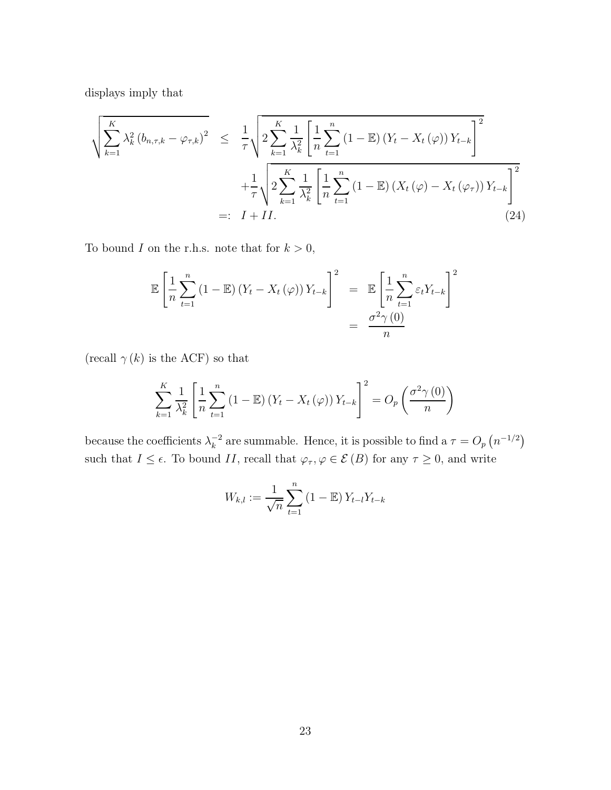displays imply that

<span id="page-22-0"></span>
$$
\sqrt{\sum_{k=1}^{K} \lambda_{k}^{2} (b_{n,\tau,k} - \varphi_{\tau,k})^{2}} \leq \frac{1}{\tau} \sqrt{2 \sum_{k=1}^{K} \frac{1}{\lambda_{k}^{2}} \left[ \frac{1}{n} \sum_{t=1}^{n} (1 - \mathbb{E}) (Y_{t} - X_{t}(\varphi)) Y_{t-k} \right]^{2}} + \frac{1}{\tau} \sqrt{2 \sum_{k=1}^{K} \frac{1}{\lambda_{k}^{2}} \left[ \frac{1}{n} \sum_{t=1}^{n} (1 - \mathbb{E}) (X_{t}(\varphi) - X_{t}(\varphi_{\tau})) Y_{t-k} \right]^{2}} =: I + II.
$$
\n(24)

To bound I on the r.h.s. note that for  $k > 0$ ,

$$
\mathbb{E}\left[\frac{1}{n}\sum_{t=1}^{n}\left(1-\mathbb{E}\right)\left(Y_{t}-X_{t}\left(\varphi\right)\right)Y_{t-k}\right]^{2} = \mathbb{E}\left[\frac{1}{n}\sum_{t=1}^{n}\varepsilon_{t}Y_{t-k}\right]^{2} = \frac{\sigma^{2}\gamma\left(0\right)}{n}
$$

(recall  $\gamma(k)$  is the ACF) so that

$$
\sum_{k=1}^{K} \frac{1}{\lambda_k^2} \left[ \frac{1}{n} \sum_{t=1}^{n} \left( 1 - \mathbb{E} \right) \left( Y_t - X_t \left( \varphi \right) \right) Y_{t-k} \right]^2 = O_p \left( \frac{\sigma^2 \gamma \left( 0 \right)}{n} \right)
$$

because the coefficients  $\lambda_k^{-2}$  $k^{-2}$  are summable. Hence, it is possible to find a  $\tau = O_p\left(n^{-1/2}\right)$ such that  $I \leq \epsilon$ . To bound II, recall that  $\varphi_{\tau}, \varphi \in \mathcal{E}(B)$  for any  $\tau \geq 0$ , and write

$$
W_{k,l} := \frac{1}{\sqrt{n}} \sum_{t=1}^{n} (1 - \mathbb{E}) Y_{t-l} Y_{t-k}
$$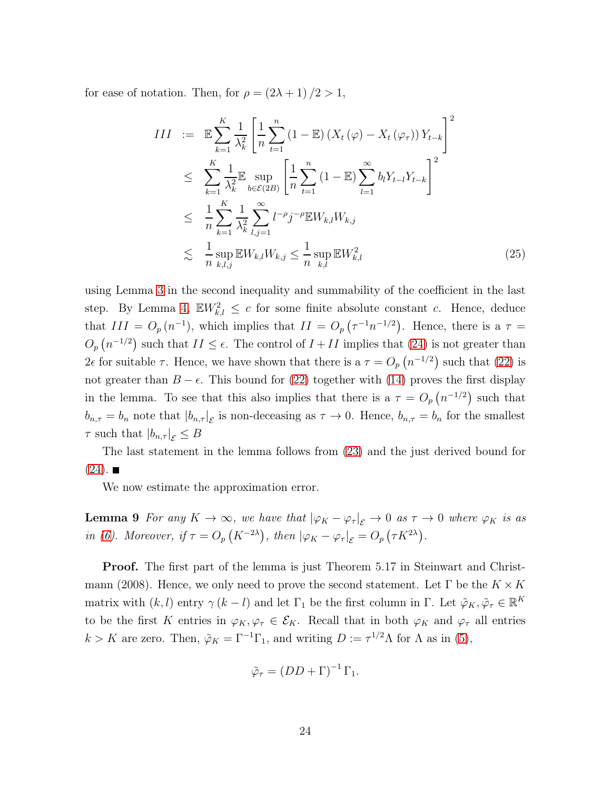for ease of notation. Then, for  $\rho = (2\lambda + 1)/2 > 1$ ,

$$
III := \mathbb{E} \sum_{k=1}^{K} \frac{1}{\lambda_k^2} \left[ \frac{1}{n} \sum_{t=1}^{n} (1 - \mathbb{E}) \left( X_t (\varphi) - X_t (\varphi_{\tau}) \right) Y_{t-k} \right]^2
$$
  
\n
$$
\leq \sum_{k=1}^{K} \frac{1}{\lambda_k^2} \mathbb{E} \sup_{b \in \mathcal{E}(2B)} \left[ \frac{1}{n} \sum_{t=1}^{n} (1 - \mathbb{E}) \sum_{l=1}^{\infty} b_l Y_{t-l} Y_{t-k} \right]^2
$$
  
\n
$$
\leq \frac{1}{n} \sum_{k=1}^{K} \frac{1}{\lambda_k^2} \sum_{l,j=1}^{\infty} l^{-\rho} j^{-\rho} \mathbb{E} W_{k,l} W_{k,j}
$$
  
\n
$$
\lesssim \frac{1}{n} \sup_{k,l,j} \mathbb{E} W_{k,l} W_{k,j} \leq \frac{1}{n} \sup_{k,l} \mathbb{E} W_{k,l}^2
$$
 (25)

using Lemma [3](#page-12-1) in the second inequality and summability of the coefficient in the last step. By Lemma [4,](#page-12-0)  $\mathbb{E}W_{k,l}^2 \leq c$  for some finite absolute constant c. Hence, deduce that  $III = O_p(n^{-1})$ , which implies that  $II = O_p(\tau^{-1}n^{-1/2})$ . Hence, there is a  $\tau =$  $O_p(n^{-1/2})$  such that  $II \leq \epsilon$ . The control of  $I + II$  implies that [\(24\)](#page-22-0) is not greater than 2 $\epsilon$  for suitable  $\tau$ . Hence, we have shown that there is a  $\tau = O_p(n^{-1/2})$  such that [\(22\)](#page-21-0) is not greater than  $B - \epsilon$ . This bound for [\(22\)](#page-21-0) together with [\(14\)](#page-12-2) proves the first display in the lemma. To see that this also implies that there is a  $\tau = O_p(n^{-1/2})$  such that  $b_{n,\tau} = b_n$  note that  $|b_{n,\tau}|_{\mathcal{E}}$  is non-deceasing as  $\tau \to 0$ . Hence,  $b_{n,\tau} = b_n$  for the smallest  $\tau$  such that  $|b_{n,\tau}|_{\mathcal{E}} \leq B$ 

The last statement in the lemma follows from [\(23\)](#page-21-1) and the just derived bound for  $(24)$ .

<span id="page-23-0"></span>We now estimate the approximation error.

**Lemma 9** For any  $K \to \infty$ , we have that  $|\varphi_K - \varphi_\tau|_{\mathcal{E}} \to 0$  as  $\tau \to 0$  where  $\varphi_K$  is as in [\(6\)](#page-5-0). Moreover, if  $\tau = O_p\left(K^{-2\lambda}\right)$ , then  $|\varphi_K - \varphi_\tau|_{\mathcal{E}} = O_p\left(\tau K^{2\lambda}\right)$ .

Proof. The first part of the lemma is just Theorem 5.17 in Steinwart and Christmann (2008). Hence, we only need to prove the second statement. Let  $\Gamma$  be the  $K \times K$ matrix with  $(k, l)$  entry  $\gamma (k - l)$  and let  $\Gamma_1$  be the first column in  $\Gamma$ . Let  $\tilde{\varphi}_K, \tilde{\varphi}_\tau \in \mathbb{R}^K$ to be the first K entries in  $\varphi_K, \varphi_\tau \in \mathcal{E}_K$ . Recall that in both  $\varphi_K$  and  $\varphi_\tau$  all entries  $k > K$  are zero. Then,  $\tilde{\varphi}_K = \Gamma^{-1} \Gamma_1$ , and writing  $D := \tau^{1/2} \Lambda$  for  $\Lambda$  as in [\(5\)](#page-4-0),

$$
\tilde{\varphi}_{\tau} = \left( DD + \Gamma \right)^{-1} \Gamma_1.
$$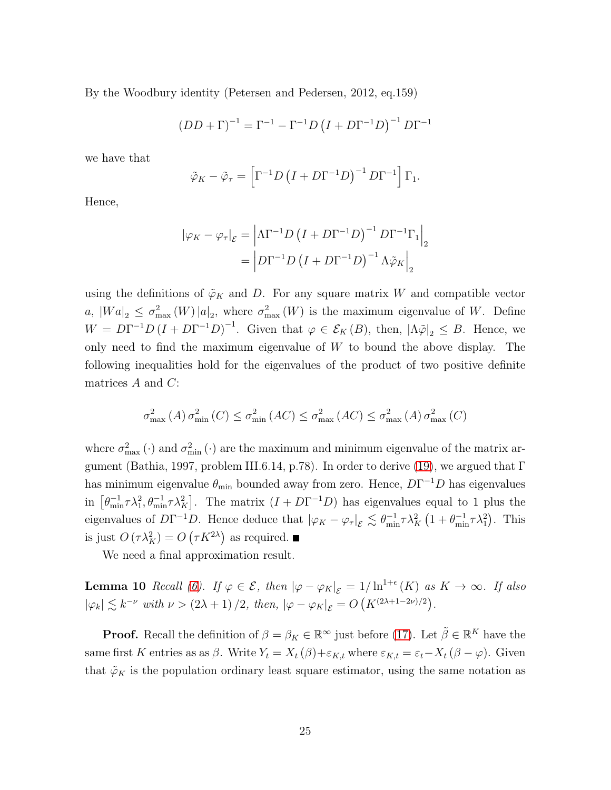By the Woodbury identity (Petersen and Pedersen, 2012, eq.159)

$$
(DD + \Gamma)^{-1} = \Gamma^{-1} - \Gamma^{-1}D (I + D\Gamma^{-1}D)^{-1} D\Gamma^{-1}
$$

we have that

$$
\tilde{\varphi}_K - \tilde{\varphi}_\tau = \left[ \Gamma^{-1} D \left( I + D \Gamma^{-1} D \right)^{-1} D \Gamma^{-1} \right] \Gamma_1.
$$

Hence,

$$
\begin{aligned} |\varphi_K - \varphi_\tau|_{\mathcal{E}} &= \left| \Lambda \Gamma^{-1} D \left( I + D \Gamma^{-1} D \right)^{-1} D \Gamma^{-1} \Gamma_1 \right|_2 \\ &= \left| D \Gamma^{-1} D \left( I + D \Gamma^{-1} D \right)^{-1} \Lambda \tilde{\varphi}_K \right|_2 \end{aligned}
$$

using the definitions of  $\tilde{\varphi}_K$  and D. For any square matrix W and compatible vector a,  $|Wa|_2 \leq \sigma_{\max}^2(W) |a|_2$ , where  $\sigma_{\max}^2(W)$  is the maximum eigenvalue of W. Define  $W = D\Gamma^{-1}D(I + D\Gamma^{-1}D)^{-1}$ . Given that  $\varphi \in \mathcal{E}_K(B)$ , then,  $|\Lambda \tilde{\varphi}|_2 \leq B$ . Hence, we only need to find the maximum eigenvalue of  $W$  to bound the above display. The following inequalities hold for the eigenvalues of the product of two positive definite matrices  $A$  and  $C$ :

$$
\sigma_{\max}^{2}\left(A\right)\sigma_{\min}^{2}\left(C\right)\leq\sigma_{\min}^{2}\left(AC\right)\leq\sigma_{\max}^{2}\left(AC\right)\leq\sigma_{\max}^{2}\left(A\right)\sigma_{\max}^{2}\left(C\right)
$$

where  $\sigma_{\max}^2(\cdot)$  and  $\sigma_{\min}^2(\cdot)$  are the maximum and minimum eigenvalue of the matrix ar-gument (Bathia, 1997, problem III.6.14, p.78). In order to derive [\(19\)](#page-17-2), we argued that  $\Gamma$ has minimum eigenvalue  $\theta_{\min}$  bounded away from zero. Hence,  $D\Gamma^{-1}D$  has eigenvalues in  $\left[\theta_{\min}^{-1}\tau\lambda_1^2, \theta_{\min}^{-1}\tau\lambda_K^2\right]$ . The matrix  $(I + D\Gamma^{-1}D)$  has eigenvalues equal to 1 plus the eigenvalues of  $D\Gamma^{-1}D$ . Hence deduce that  $|\varphi_K - \varphi_\tau|_{\mathcal{E}} \lesssim \theta_{\min}^{-1} \tau \lambda_K^2 (1 + \theta_{\min}^{-1} \tau \lambda_1^2)$ . This is just  $O(\tau \lambda_K^2) = O(\tau K^{2\lambda})$  as required.

<span id="page-24-0"></span>We need a final approximation result.

**Lemma 10** Recall [\(6\)](#page-5-0). If  $\varphi \in \mathcal{E}$ , then  $|\varphi - \varphi_K|_{\mathcal{E}} = 1/\ln^{1+\epsilon}(K)$  as  $K \to \infty$ . If also  $|\varphi_k| \lesssim k^{-\nu}$  with  $\nu > (2\lambda + 1)/2$ , then,  $|\varphi - \varphi_K|_{\mathcal{E}} = O\left(K^{(2\lambda + 1 - 2\nu)/2}\right)$ .

**Proof.** Recall the definition of  $\beta = \beta_K \in \mathbb{R}^\infty$  just before [\(17\)](#page-17-0). Let  $\tilde{\beta} \in \mathbb{R}^K$  have the same first K entries as as  $\beta$ . Write  $Y_t = X_t(\beta) + \varepsilon_{K,t}$  where  $\varepsilon_{K,t} = \varepsilon_t - X_t(\beta - \varphi)$ . Given that  $\tilde{\varphi}_K$  is the population ordinary least square estimator, using the same notation as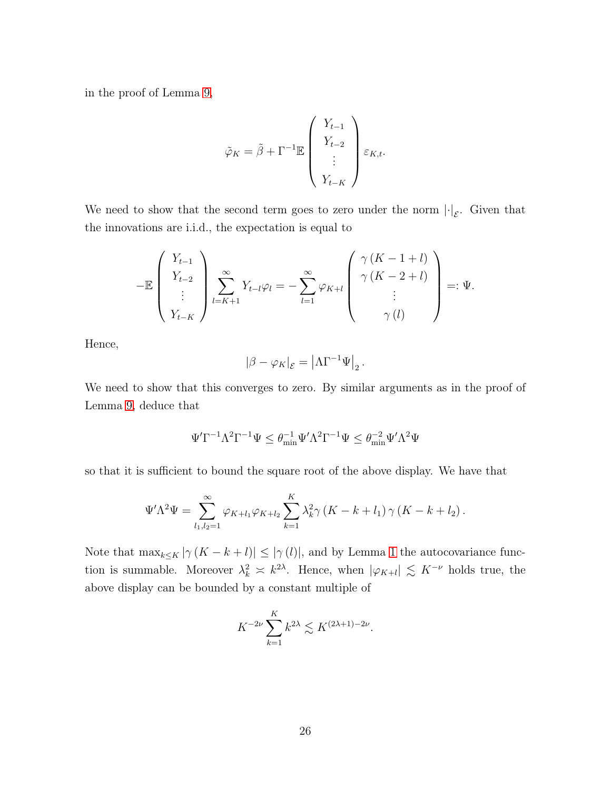in the proof of Lemma [9,](#page-23-0)

$$
\tilde{\varphi}_K = \tilde{\beta} + \Gamma^{-1} \mathbb{E} \begin{pmatrix} Y_{t-1} \\ Y_{t-2} \\ \vdots \\ Y_{t-K} \end{pmatrix} \varepsilon_{K,t}.
$$

We need to show that the second term goes to zero under the norm  $|\cdot|_{\mathcal{E}}$ . Given that the innovations are i.i.d., the expectation is equal to

$$
-\mathbb{E}\left(\begin{array}{c} Y_{t-1} \\ Y_{t-2} \\ \vdots \\ Y_{t-K} \end{array}\right) \sum_{l=K+1}^{\infty} Y_{t-l} \varphi_l = -\sum_{l=1}^{\infty} \varphi_{K+l} \left(\begin{array}{c} \gamma\left(K-1+l\right) \\ \gamma\left(K-2+l\right) \\ \vdots \\ \gamma\left(l\right) \end{array}\right) =: \Psi.
$$

Hence,

$$
|\beta - \varphi_K|_{\mathcal{E}} = |\Lambda \Gamma^{-1} \Psi|_2.
$$

We need to show that this converges to zero. By similar arguments as in the proof of Lemma [9,](#page-23-0) deduce that

$$
\Psi'\Gamma^{-1}\Lambda^2\Gamma^{-1}\Psi \leq \theta_{\min}^{-1}\Psi'\Lambda^2\Gamma^{-1}\Psi \leq \theta_{\min}^{-2}\Psi'\Lambda^2\Psi
$$

so that it is sufficient to bound the square root of the above display. We have that

$$
\Psi'\Lambda^2\Psi = \sum_{l_1,l_2=1}^{\infty} \varphi_{K+l_1}\varphi_{K+l_2} \sum_{k=1}^{K} \lambda_k^2 \gamma (K - k + l_1) \gamma (K - k + l_2).
$$

Note that  $\max_{k\leq K} |\gamma (K - k + l)| \leq |\gamma (l)|$ , and by Lemma [1](#page-2-2) the autocovariance function is summable. Moreover  $\lambda_k^2 \leq k^{2\lambda}$ . Hence, when  $|\varphi_{K+l}| \leq K^{-\nu}$  holds true, the above display can be bounded by a constant multiple of

$$
K^{-2\nu}\sum_{k=1}^K k^{2\lambda} \lesssim K^{(2\lambda+1)-2\nu}.
$$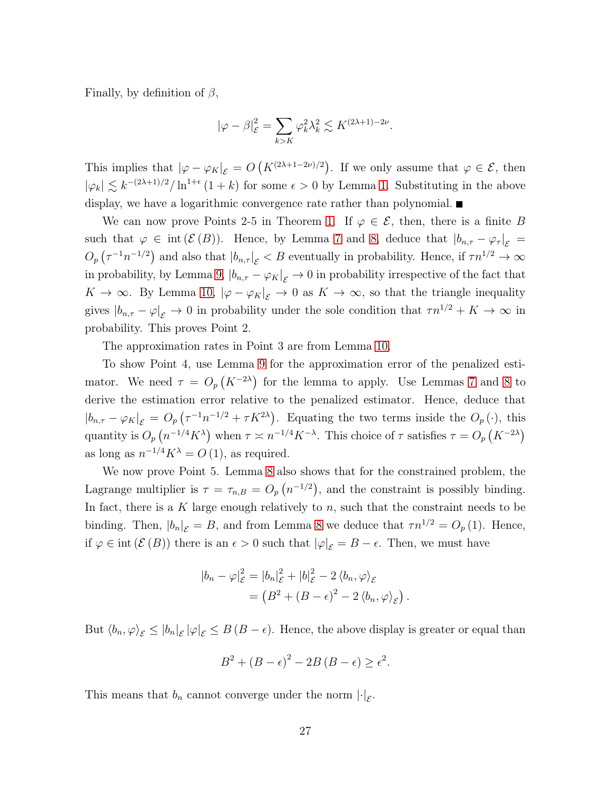Finally, by definition of  $\beta$ ,

$$
|\varphi - \beta|_{\mathcal{E}}^2 = \sum_{k > K} \varphi_k^2 \lambda_k^2 \lesssim K^{(2\lambda + 1) - 2\nu}.
$$

This implies that  $|\varphi - \varphi_K|_{\mathcal{E}} = O\left(K^{(2\lambda+1-2\nu)/2}\right)$ . If we only assume that  $\varphi \in \mathcal{E}$ , then  $|\varphi_k| \lesssim k^{-(2\lambda+1)/2} / \ln^{1+\epsilon} (1+k)$  for some  $\epsilon > 0$  by Lemma [1.](#page-2-2) Substituting in the above display, we have a logarithmic convergence rate rather than polynomial.  $\blacksquare$ 

We can now prove Points 2-5 in Theorem [1.](#page-5-1) If  $\varphi \in \mathcal{E}$ , then, there is a finite B such that  $\varphi \in \text{int}(\mathcal{E}(B))$ . Hence, by Lemma [7](#page-19-1) and [8,](#page-20-0) deduce that  $|b_{n,\tau} - \varphi_{\tau}|_{\mathcal{E}} =$  $O_p(\tau^{-1}n^{-1/2})$  and also that  $|b_{n,\tau}|_{\mathcal{E}} < B$  eventually in probability. Hence, if  $\tau n^{1/2} \to \infty$ in probability, by Lemma [9,](#page-23-0)  $|b_{n,\tau} - \varphi_K|_{\mathcal{E}} \to 0$  in probability irrespective of the fact that  $K \to \infty$ . By Lemma [10,](#page-24-0)  $|\varphi - \varphi_K|_{\mathcal{E}} \to 0$  as  $K \to \infty$ , so that the triangle inequality gives  $|b_{n,\tau} - \varphi|_{\mathcal{E}} \to 0$  in probability under the sole condition that  $\tau n^{1/2} + K \to \infty$  in probability. This proves Point 2.

The approximation rates in Point 3 are from Lemma [10.](#page-24-0)

To show Point 4, use Lemma [9](#page-23-0) for the approximation error of the penalized estimator. We need  $\tau = O_p(K^{-2\lambda})$  for the lemma to apply. Use Lemmas [7](#page-19-1) and [8](#page-20-0) to derive the estimation error relative to the penalized estimator. Hence, deduce that  $|b_{n,\tau} - \varphi_K|_{\mathcal{E}} = O_p\left(\tau^{-1}n^{-1/2} + \tau K^{2\lambda}\right)$ . Equating the two terms inside the  $O_p(\cdot)$ , this quantity is  $O_p(n^{-1/4}K^{\lambda})$  when  $\tau \approx n^{-1/4}K^{-\lambda}$ . This choice of  $\tau$  satisfies  $\tau = O_p(K^{-2\lambda})$ as long as  $n^{-1/4} K^{\lambda} = O(1)$ , as required.

We now prove Point 5. Lemma [8](#page-20-0) also shows that for the constrained problem, the Lagrange multiplier is  $\tau = \tau_{n,B} = O_p(n^{-1/2})$ , and the constraint is possibly binding. In fact, there is a K large enough relatively to  $n$ , such that the constraint needs to be binding. Then,  $|b_n|_{\mathcal{E}} = B$ , and from Lemma [8](#page-20-0) we deduce that  $\tau n^{1/2} = O_p(1)$ . Hence, if  $\varphi \in \text{int}(\mathcal{E}(B))$  there is an  $\epsilon > 0$  such that  $|\varphi|_{\mathcal{E}} = B - \epsilon$ . Then, we must have

$$
|b_n - \varphi|_{\mathcal{E}}^2 = |b_n|_{\mathcal{E}}^2 + |b|_{\mathcal{E}}^2 - 2 \langle b_n, \varphi \rangle_{\mathcal{E}}
$$
  
= 
$$
(B^2 + (B - \epsilon)^2 - 2 \langle b_n, \varphi \rangle_{\mathcal{E}}).
$$

But  $\langle b_n, \varphi \rangle_{\mathcal{E}} \leq |b_n|_{\mathcal{E}} |\varphi|_{\mathcal{E}} \leq B(B - \epsilon)$ . Hence, the above display is greater or equal than

$$
B^2 + (B - \epsilon)^2 - 2B(B - \epsilon) \ge \epsilon^2.
$$

This means that  $b_n$  cannot converge under the norm  $\lvert \cdot \rvert_{\mathcal{E}}$ .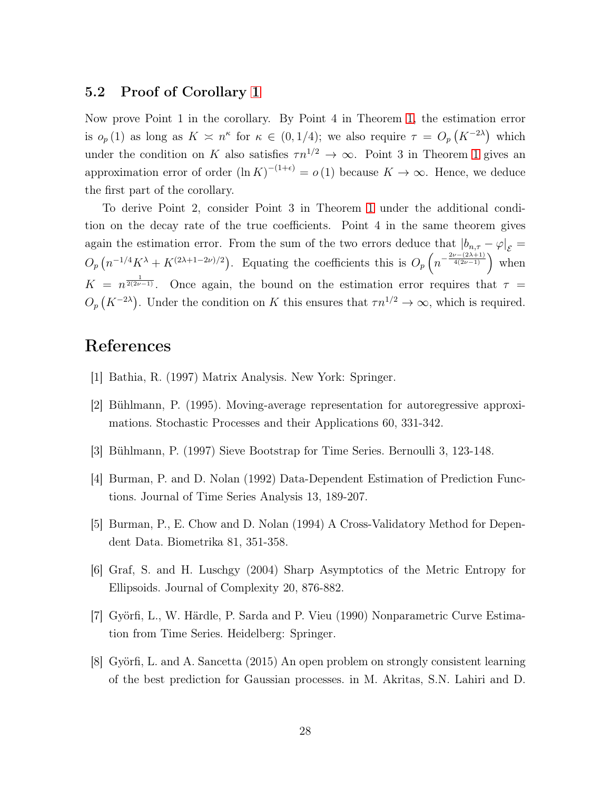## 5.2 Proof of Corollary [1](#page-6-0)

Now prove Point 1 in the corollary. By Point 4 in Theorem [1,](#page-5-1) the estimation error is  $o_p(1)$  as long as  $K \nvert n^{\kappa}$  for  $\kappa \in (0, 1/4)$ ; we also require  $\tau = O_p(K^{-2\lambda})$  which under the condition on K also satisfies  $\tau n^{1/2} \to \infty$ . Point 3 in Theorem [1](#page-5-1) gives an approximation error of order  $(\ln K)^{-(1+\epsilon)} = o(1)$  because  $K \to \infty$ . Hence, we deduce the first part of the corollary.

To derive Point 2, consider Point 3 in Theorem [1](#page-5-1) under the additional condition on the decay rate of the true coefficients. Point 4 in the same theorem gives again the estimation error. From the sum of the two errors deduce that  $|b_{n,\tau} - \varphi|_{\mathcal{E}} =$  $O_p\left(n^{-1/4}K^{\lambda} + K^{(2\lambda+1-2\nu)/2}\right)$ . Equating the coefficients this is  $O_p\left(n^{-\frac{2\nu-(2\lambda+1)}{4(2\nu-1)}}\right)$  when  $K = n^{\frac{1}{2(2\nu-1)}}$ . Once again, the bound on the estimation error requires that  $\tau =$  $O_p(K^{-2\lambda})$ . Under the condition on K this ensures that  $\tau n^{1/2} \to \infty$ , which is required.

## References

- [1] Bathia, R. (1997) Matrix Analysis. New York: Springer.
- [2] Bühlmann, P. (1995). Moving-average representation for autoregressive approximations. Stochastic Processes and their Applications 60, 331-342.
- [3] Bühlmann, P. (1997) Sieve Bootstrap for Time Series. Bernoulli 3, 123-148.
- [4] Burman, P. and D. Nolan (1992) Data-Dependent Estimation of Prediction Functions. Journal of Time Series Analysis 13, 189-207.
- [5] Burman, P., E. Chow and D. Nolan (1994) A Cross-Validatory Method for Dependent Data. Biometrika 81, 351-358.
- [6] Graf, S. and H. Luschgy (2004) Sharp Asymptotics of the Metric Entropy for Ellipsoids. Journal of Complexity 20, 876-882.
- [7] Györfi, L., W. Härdle, P. Sarda and P. Vieu (1990) Nonparametric Curve Estimation from Time Series. Heidelberg: Springer.
- [8] Györfi, L. and A. Sancetta (2015) An open problem on strongly consistent learning of the best prediction for Gaussian processes. in M. Akritas, S.N. Lahiri and D.